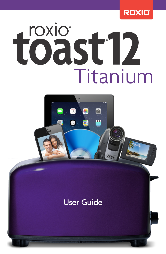

# **roxio**<sup>®</sup> töäst 12 Titanium



## **User Guide**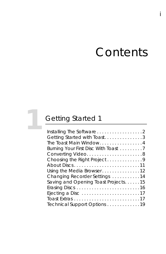# **Contents**

i

İ

## **[1](#page-6-0)** [Getting Started 1](#page-6-1)

| Installing The Software 2            |
|--------------------------------------|
| Getting Started with Toast3          |
| The Toast Main Window4               |
| Burning Your First Disc With Toast 7 |
|                                      |
| Choosing the Right Project9          |
| About Discs11                        |
| Using the Media Browser12            |
| Changing Recorder Settings 14        |
| Saving and Opening Toast Projects15  |
|                                      |
|                                      |
|                                      |
| Technical Support Options 19         |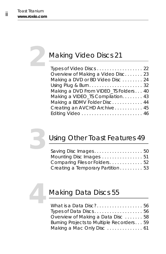## **[2](#page-26-0)** [Making Video Discs 21](#page-26-1)

| Types of Video Discs 22               |
|---------------------------------------|
| Overview of Making a Video Disc 23    |
| Making a DVD or BD Video Disc 24      |
|                                       |
| Making a DVD From VIDEO_TS Folders 40 |
| Making a VIDEO_TS Compilation. 43     |
| Making a BDMV Folder Disc 44          |
| Creating an AVCHD Archive 45          |
|                                       |
|                                       |



## **[3](#page-54-0)** [Using Other Toast Features 49](#page-54-1)

| Saving Disc Images 50            |
|----------------------------------|
| Mounting Disc Images 51          |
| Comparing Files or Folders 52    |
| Creating a Temporary Partition53 |
|                                  |



## **[4](#page-60-0)** [Making Data Discs 55](#page-60-1)

| What is a Data Disc? 56                  |  |
|------------------------------------------|--|
|                                          |  |
| Overview of Making a Data Disc 58        |  |
| Burning Projects to Multiple Recorders59 |  |
| Making a Mac Only Disc  61               |  |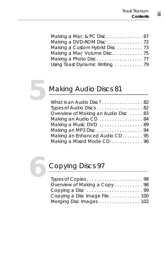| Making a Mac Volume Disc 75     |  |
|---------------------------------|--|
|                                 |  |
| Using Toast Dynamic Writing  79 |  |



## **[5](#page-86-0)** [Making Audio Discs 81](#page-86-1)

| What is an Audio Disc? 82           |  |
|-------------------------------------|--|
| Types of Audio Discs 82             |  |
| Overview of Making an Audio Disc 83 |  |
| Making an Audio CD 84               |  |
| Making a Music DVD 89               |  |
| Making an MP3 Disc94                |  |
| Making an Enhanced Audio CD. 95     |  |
| Making a Mixed Mode CD. 96          |  |



## **[6](#page-102-0)** [Copying Discs 97](#page-102-1)

| Types of Copies98             |  |
|-------------------------------|--|
| Overview of Making a Copy 98  |  |
|                               |  |
| Copying a Disc Image File 100 |  |
| Merging Disc Images 102       |  |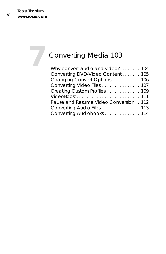# **[7](#page-108-0)** [Converting Media 103](#page-108-1)

| Why convert audio and video?  104     |  |
|---------------------------------------|--|
| Converting DVD-Video Content 105      |  |
| Changing Convert Options 106          |  |
| Converting Video Files 107            |  |
| Creating Custom Profiles  109         |  |
| VideoBoost 111                        |  |
| Pause and Resume Video Conversion 112 |  |
| Converting Audio Files 113            |  |
| Converting Audiobooks 114             |  |
|                                       |  |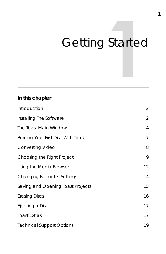# <span id="page-6-1"></span><span id="page-6-0"></span>Getting Started

#### **In this chapter**

| Introduction                       | $\overline{2}$ |
|------------------------------------|----------------|
| Installing The Software            | $\overline{2}$ |
| The Toast Main Window              | $\overline{4}$ |
| Burning Your First Disc With Toast | $\overline{7}$ |
| Converting Video                   | 8              |
| Choosing the Right Project         | 9              |
| Using the Media Browser            | 12             |
| <b>Changing Recorder Settings</b>  | 14             |
| Saving and Opening Toast Projects  | 15             |
| <b>Erasing Discs</b>               | 16             |
| Ejecting a Disc                    | 17             |
| <b>Toast Extras</b>                | 17             |
| <b>Technical Support Options</b>   | 19             |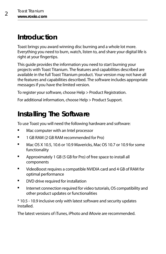## <span id="page-7-1"></span>**Introduction**

Toast brings you award winning disc burning and a whole lot more. Everything you need to burn, watch, listen to, and share your digital life is right at your fingertips.

This guide provides the information you need to start burning your projects with Toast Titanium. The features and capabilities described are available in the full Toast Titanium product. Your version may not have all the features and capabilities described. The software includes appropriate messages if you have the limited version.

To register your software, choose Help > Product Registration.

For additional information, choose Help > Product Support.

## <span id="page-7-0"></span>**Installing The Software**

To use Toast you will need the following hardware and software:

- Mac computer with an Intel processor
- 1 GB RAM (2 GB RAM recommended for Pro)
- Mac OS X 10.5, 10.6 or 10.9 Mavericks, Mac OS 10.7 or 10.9 for some functionality
- Approximately 1 GB (5 GB for Pro) of free space to install all components
- VideoBoost requires a compatible NVIDIA card and 4 GB of RAM for optimal performance
- **•** DVD drive required for installation
- **Internet connection required for video tutorials, OS compatibility and** other product updates or functionalities

\* 10.5 - 10.9 inclusive only with latest software and security updates Installed.

The latest versions of iTunes, iPhoto and iMovie are recommended.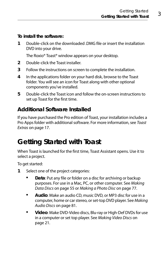**To install the software:**

1 Double-click on the downloaded DMG file or insert the installation DVD into your drive.

The Roxio® Toast® window appears on your desktop.

- **2** Double-click the Toast installer.
- **3** Follow the instructions on screen to complete the installation.
- **4** In the applications folder on your hard disk, browse to the Toast folder. You will see an icon for Toast along with other optional components you've installed.
- **5** Double-click the Toast icon and follow the on-screen instructions to set up Toast for the first time.

## **Additional Software Installed**

If you have purchased the Pro edition of Toast, your installation includes a Pro Apps folder with additional software. For more information, see [Toast](#page-22-1)  Extras [on page 17.](#page-22-1)

## <span id="page-8-0"></span>**Getting Started with Toast**

When Toast is launched for the first time, Toast Assistant opens. Use it to select a project.

To get started:

- **1** Select one of the project categories:
	- **Data**: Put any file or folder on a disc for archiving or backup purposes. For use in a Mac, PC, or other computer. See [Making](#page-60-2)  Data Discs [on page 55](#page-60-2) or [Making a Photo Disc](#page-82-1) on page 77.
	- **Audio**: Make an audio CD, music DVD, or MP3 disc for use in a computer, home or car stereo, or set-top DVD player. See [Making](#page-86-2)  Audio Discs [on page 81](#page-86-2).
	- **Video**: Make DVD-Video discs, Blu-ray or High-Def DVDs for use in a computer or set top player. See [Making Video Discs](#page-26-2) on [page 21.](#page-26-2)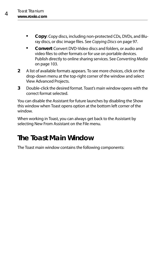- **Copy**: Copy discs, including non-protected CDs, DVDs, and Blu-ray discs, or disc image files. See [Copying Discs](#page-102-2) on page 97.
- **Convert**: Convert DVD-Video discs and folders, or audio and video files to other formats or for use on portable devices. Publish directly to online sharing services. See [Converting Media](#page-108-2) [on page 103.](#page-108-2)
- **2** A list of available formats appears. To see more choices, click on the drop-down menu at the top-right corner of the window and select View Advanced Projects.
- **3** Double-click the desired format. Toast's main window opens with the correct format selected.

You can disable the Assistant for future launches by disabling the Show this window when Toast opens option at the bottom left corner of the window.

When working in Toast, you can always get back to the Assistant by selecting New From Assistant on the File menu.

## <span id="page-9-0"></span>**The Toast Main Window**

The Toast main window contains the following components: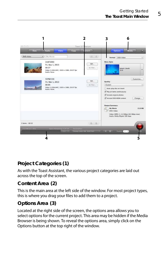

#### **Project Categories (1)**

As with the Toast Assistant, the various project categories are laid out across the top of the screen.

#### **Content Area (2)**

This is the main area at the left side of the window. For most project types, this is where you drag your files to add them to a project.

#### **Options Area (3)**

Located at the right side of the screen, the options area allows you to select options for the current project. This area may be hidden if the Media Browser is being shown. To reveal the options area, simply click on the Options button at the top right of the window.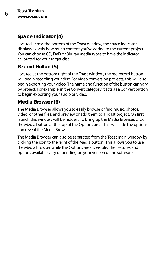#### **Space Indicator (4)**

Located across the bottom of the Toast window, the space indicator displays exactly how much content you've added to the current project. You can choose CD, DVD or Blu-ray media types to have the indicator calibrated for your target disc.

#### **Record Button (5)**

Located at the bottom right of the Toast window, the red record button will begin recording your disc. For video conversion projects, this will also begin exporting your video. The name and function of the button can vary by project. For example, in the Convert category it acts as a Convert button to begin exporting your audio or video.

#### **Media Browser (6)**

The Media Browser allows you to easily browse or find music, photos, video, or other files, and preview or add them to a Toast project. On first launch this window will be hidden. To bring up the Media Browser, click the Media button at the top of the Options area. This will hide the options and reveal the Media Browser.

The Media Browser can also be separated from the Toast main window by clicking the icon to the right of the Media button. This allows you to use the Media Browser while the Options area is visible. The features and options available vary depending on your version of the software.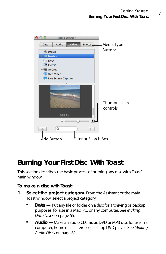

## <span id="page-12-0"></span>**Burning Your First Disc With Toast**

This section describes the basic process of burning any disc with Toast's main window.

**To make a disc with Toast:**

- **1 Select the project category.** From the Assistant or the main Toast window, select a project category.
	- **Data** Put any file or folder on a disc for archiving or backup purposes, for use in a Mac, PC, or any computer. See [Making](#page-60-2)  Data Discs [on page 55](#page-60-2).
	- **Audio —** Make an audio CD, music DVD or MP3 disc for use in a computer, home or car stereo, or set-top DVD player. See [Making](#page-86-2)  Audio Discs [on page 81](#page-86-2).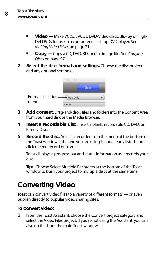- **Video —** Make VCDs, SVCDs, DVD-Video discs, Blu-ray or High-Def DVDs for use in a computer or set-top DVD player. See [Making Video Discs](#page-26-2) on page 21.
- **Copy —** Copy a CD, DVD, BD, or disc image file. See [Copying](#page-102-2)  Discs [on page 97](#page-102-2).
- **2 Select the disc format and settings.** Choose the disc project and any optional settings.



- **3 Add content.** Drag-and-drop files and folders into the Content Area from your hard disk or the Media Browser.
- **4 Insert a recordable disc.** Insert a blank, recordable CD, DVD, or Blu-ray Disc.
- **5 Record the disc.** Select a recorder from the menu at the bottom of the Toast window if the one you are using is not already listed, and click the red record button.

Toast displays a progress bar and status information as it records your disc.

**Tip:** Choose Select Multiple Recorders at the bottom of the Toast window to burn your project to multiple discs at the same time.

## <span id="page-13-0"></span>**Converting Video**

Toast can convert video files to a variety of different formats — or even publish directly to popular video sharing sites.

#### **To convert video:**

**1** From the Toast Assistant, choose the Convert project category and select the Video Files project. If you're not using the Assistant, you can also do this from the main Toast window.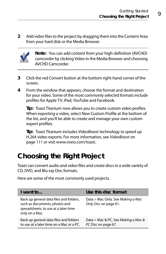**2** Add video files to the project by dragging them into the Content Area from your hard disk or the Media Browser.



**Note:** You can add content from your high-definition (AVCHD) camcorder by clicking Video in the Media Browser and choosing AVCHD Camcorder.

- **3** Click the red Convert button at the bottom right-hand corner of the screen.
- **4** From the window that appears, choose the format and destination for your video. Some of the most commonly selected formats include profiles for Apple TV, iPad, YouTube and Facebook.

**Tip:** Toast Titanium now allows you to create custom video profiles. When exporting a video, select New Custom Profile at the bottom of the list, and you'll be able to create and manage your own custom export profiles.

**Tip:** Toast Titanium includes VideoBoost technology to speed up H.264 video exports. For more information, see [VideoBoost](#page-116-1) on [page 111](#page-116-1) or visit [www.roxio.com/toast](http://www.roxio.com/toast).

## <span id="page-14-0"></span>**Choosing the Right Project**

Toast can convert audio and video files and create discs in a wide variety of CD, DVD, and Blu-ray Disc formats.

Here are some of the most commonly used projects.

| I want to                                                                                                                          | Use this disc format                                       |
|------------------------------------------------------------------------------------------------------------------------------------|------------------------------------------------------------|
| Back up general data files and folders,<br>such as documents, photos and<br>spreadsheets, to use at a later time<br>only on a Mac. | Data > Mac Only. See Making a Mac<br>Only Disc on page 61. |
| Back up general data files and folders<br>to use at a later time on a Mac or a PC.                                                 | Data > Mac & PC. See Making a Mac &<br>PC Disc on page 67. |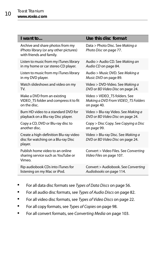| I want to                                                                                              | Use this disc format                                                          |
|--------------------------------------------------------------------------------------------------------|-------------------------------------------------------------------------------|
| Archive and share photos from my<br>iPhoto library (or any other pictures)<br>with friends and family. | Data > Photo Disc. See Making a<br>Photo Disc on page 77.                     |
| Listen to music from my iTunes library                                                                 | Audio > Audio CD. See Making an                                               |
| in my home or car stereo CD player.                                                                    | Audio CD on page 84.                                                          |
| Listen to music from my iTunes library                                                                 | Audio > Music DVD. See Making a                                               |
| in my DVD player.                                                                                      | Music DVD on page 89.                                                         |
| Watch slideshows and video on my                                                                       | Video > DVD-Video. See Making a                                               |
| TV.                                                                                                    | DVD or BD Video Disc on page 24.                                              |
| Make a DVD from an existing                                                                            | Video > VIDEO TS folders. See                                                 |
| VIDEO_TS folder and compress it to fit                                                                 | Making a DVD From VIDEO_TS Folders                                            |
| on the disc.                                                                                           | on page 40.                                                                   |
| Burn HD video to a standard DVD for                                                                    | Video > Blu-ray Video. See Making a                                           |
| playback on a Blu-ray Disc player.                                                                     | DVD or BD Video Disc on page 24.                                              |
| Copy a CD, DVD or Blu-ray disc to                                                                      | Copy > Disc Copy. See Copying a Disc                                          |
| another disc.                                                                                          | on page 99.                                                                   |
| Create a high-definition Blu-ray video<br>disc for watching on a Blu-ray Disc<br>player.               | Video > Blu-ray Disc. See <i>Making a</i><br>DVD or BD Video Disc on page 24. |
| Publish home video to an online<br>sharing service such as YouTube or<br>Vimeo.                        | Convert > Video Files. See Converting<br>Video Files on page 107.             |
| Rip audiobook CDs into iTunes for                                                                      | Convert > Audiobook. See Converting                                           |
| listening on my Mac or iPod.                                                                           | Audiobooks on page 114.                                                       |

- For all data disc formats see [Types of Data Discs](#page-61-2) on page 56.
- For all audio disc formats, see [Types of Audio Discs](#page-87-2) on page 82.
- For all video disc formats, see [Types of Video Discs](#page-27-1) on page 22.
- For all copy formats, see [Types of Copies](#page-103-2) on page 98.
- For all convert formats, see [Converting Media](#page-108-2) on page 103.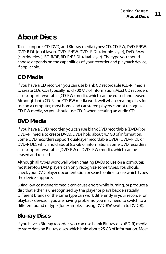## <span id="page-16-0"></span>**About Discs**

Toast supports CD, DVD, and Blu-ray media types: CD, CD-RW, DVD-R/RW, DVD-R DL (dual-layer), DVD+R/RW, DVD+R DL (double-layer), DVD-RAM (cartridgeless), BD-R/RE, BD-R/RE DL (dual-layer). The type you should choose depends on the capabilities of your recorder and playback device, if applicable.

## **CD Media**

If you have a CD recorder, you can use blank CD recordable (CD-R) media to create CDs. CDs typically hold 700 MB of information. Most CD recorders also support rewritable (CD-RW) media, which can be erased and reused. Although both CD-R and CD-RW media work well when creating discs for use on a computer, most home and car stereo players cannot recognize CD-RW media, so you should use CD-R when creating an audio CD.

## **DVD Media**

If you have a DVD recorder, you can use blank DVD recordable (DVD-R or DVD+R) media to create DVDs. DVDs hold about 4.7 GB of information. Some DVD recorders support dual-layer recordable DVDs (DVD+R DL or DVD-R DL), which hold about 8.5 GB of information. Some DVD recorders also support rewritable (DVD-RW or DVD+RW) media, which can be erased and reused.

Although all types work well when creating DVDs to use on a computer, most set-top DVD players can only recognize some types. You should check your DVD player documentation or search online to see which types the device supports.

Using low-cost generic media can cause errors while burning, or produce a disc that either is unrecognized by the player or plays back erratically. Different brands of the same type can work differently in your recorder or playback device. If you are having problems, you may need to switch to a different brand or type (for example, if using DVD-RW, switch to DVD-R).

## **Blu-ray Discs**

If you have a Blu-ray recorder, you can use blank Blu-ray disc (BD-R) media to store data on Blu-ray discs which hold about 25 GB of information. Most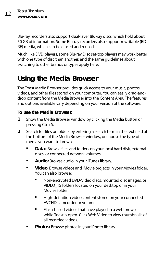Blu-ray recorders also support dual-layer Blu-ray discs, which hold about 50 GB of information. Some Blu-ray recorders also support rewritable (BD-RE) media, which can be erased and reused.

Much like DVD players, some Blu-ray Disc set-top players may work better with one type of disc than another, and the same guidelines about switching to other brands or types apply here.

## <span id="page-17-1"></span><span id="page-17-0"></span>**Using the Media Browser**

The Toast Media Browser provides quick access to your music, photos, videos, and other files stored on your computer. You can easily drag-anddrop content from the Media Browser into the Content Area. The features and options available vary depending on your version of the software.

#### **To use the Media Browser:**

- **1** Show the Media Browser window by clicking the Media button or pressing Ctrl+S.
- **2** Search for files or folders by entering a search term in the text field at the bottom of the Media Browser window, or choose the type of media you want to browse:
	- **Data:** Browse files and folders on your local hard disk, external discs, or connected network volumes.
	- **Audio:** Browse audio in your iTunes library.
	- **Video**: Browse videos and iMovie projects in your Movies folder. You can also browse:
		- Non-encrypted DVD-Video discs, mounted disc images, or VIDEO\_TS folders located on your desktop or in your Movies folder.
		- High-definition video content stored on your connected AVCHD camcorder or volume.
		- **Flash-based videos that have played in a web browser** while Toast is open. Click Web Video to view thumbnails of all recorded videos.
	- **Photos:** Browse photos in your iPhoto library.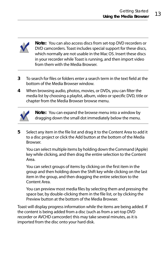

**Note:** You can also access discs from set-top DVD recorders or DVD camcorders. Toast includes special support for these discs, which normally are not usable in the Mac OS. Insert these discs in your recorder while Toast is running, and then import video from them with the Media Browser.

- **3** To search for files or folders enter a search term in the text field at the bottom of the Media Browser window.
- **4** When browsing audio, photos, movies, or DVDs, you can filter the media list by choosing a playlist, album, video or specific DVD, title or chapter from the Media Browser browse menu.



**Note:** You can expand the browse menu into a window by dragging down the small dot immediately below the menu.

**5** Select any item in the file list and drag it to the Content Area to add it to a disc project or click the Add button at the bottom of the Media Browser.

You can select multiple items by holding down the Command (Apple) key while clicking, and then drag the entire selection to the Content Area.

You can select groups of items by clicking on the first item in the group and then holding down the Shift key while clicking on the last item in the group, and then dragging the entire selection to the Content Area.

You can preview most media files by selecting them and pressing the space bar, by double-clicking them in the file list, or by clicking the Preview button at the bottom of the Media Browser.

Toast will display progress information while the items are being added. If the content is being added from a disc (such as from a set-top DVD recorder or AVCHD camcorder) this may take several minutes, as it is imported from the disc onto your hard disk.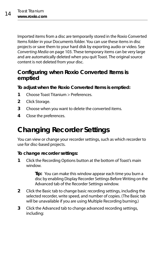Imported items from a disc are temporarily stored in the Roxio Converted Items folder in your Documents folder. You can use these items in disc projects or save them to your hard disk by exporting audio or video. See [Converting Media](#page-108-2) on page 103. These temporary items can be very large and are automatically deleted when you quit Toast. The original source content is not deleted from your disc.

#### **Configuring when Roxio Converted Items is emptied**

**To adjust when the Roxio Converted Items is emptied:**

- **1** Choose Toast Titanium > Preferences.
- **2** Click Storage.
- **3** Choose when you want to delete the converted items.
- **4** Close the preferences.

## <span id="page-19-0"></span>**Changing Recorder Settings**

You can view or change your recorder settings, such as which recorder to use for disc-based projects.

#### **To change recorder settings:**

**1** Click the Recording Options button at the bottom of Toast's main window.

> **Tip:** You can make this window appear each time you burn a disc by enabling Display Recorder Settings Before Writing on the Advanced tab of the Recorder Settings window.

- **2** Click the Basic tab to change basic recording settings, including the selected recorder, write speed, and number of copies. (The Basic tab will be unavailable if you are using Multiple Recording burning.)
- **3** Click the Advanced tab to change advanced recording settings, including: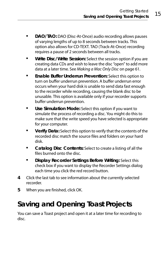- **DAO/TAO:** DAO (Disc-At-Once) audio recording allows pauses of varying lengths of up to 8 seconds between tracks. This option also allows for CD-TEXT. TAO (Track-At-Once) recording requires a pause of 2 seconds between all tracks.
- **Write Disc/Write Session:** Select the session option if you are creating data CDs and wish to leave the disc "open" to add more data at a later time. See [Making a Mac Only Disc](#page-66-1) on page 61.
- **Enable Buffer Underrun Prevention:** Select this option to turn on buffer underrun prevention. A buffer underrun error occurs when your hard disk is unable to send data fast enough to the recorder while recording, causing the blank disc to be unusable. This option is available only if your recorder supports buffer underrun prevention.
- **Use Simulation Mode:** Select this option if you want to simulate the process of recording a disc. You might do this to make sure that the write speed you have selected is appropriate for your computer.
- **Verify Data:** Select this option to verify that the contents of the recorded disc match the source files and folders on your hard disk.
- **Catalog Disc Contents:** Select to create a listing of all the files burned onto the disc.
- **Display Recorder Settings Before Writing:** Select this check box if you want to display the Recorder Settings dialog each time you click the red record button.
- **4** Click the last tab to see information about the currently selected recorder.
- **5** When you are finished, click OK.

## <span id="page-20-0"></span>**Saving and Opening Toast Projects**

You can save a Toast project and open it at a later time for recording to disc.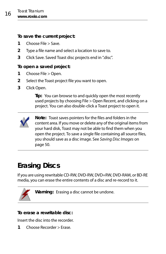#### **To save the current project:**

- **1** Choose File > Save.
- **2** Type a file name and select a location to save to.
- **3** Click Save. Saved Toast disc projects end in ".disc".

#### **To open a saved project:**

- **1** Choose File > Open.
- **2** Select the Toast project file you want to open.
- **3** Click Open.

**Tip:** You can browse to and quickly open the most recently used projects by choosing File > Open Recent, and clicking on a project. You can also double-click a Toast project to open it.



**Note:** Toast saves pointers for the files and folders in the content area. If you move or delete any of the original items from your hard disk, Toast may not be able to find them when you open the project. To save a single file containing all source files, you should save as a disc image. See [Saving Disc Images](#page-55-1) on [page 50.](#page-55-1)

## <span id="page-21-0"></span>**Erasing Discs**

If you are using rewritable CD-RW, DVD-RW, DVD+RW, DVD-RAM, or BD-RE media, you can erase the entire contents of a disc and re-record to it.



**Warning:** Erasing a disc cannot be undone.

#### **To erase a rewritable disc:**

Insert the disc into the recorder.

**1** Choose Recorder > Erase.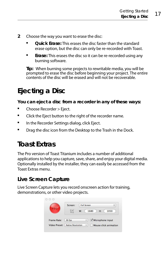- **2** Choose the way you want to erase the disc:
	- **Quick Erase:** This erases the disc faster than the standard erase option, but the disc can only be re-recorded with Toast.
	- **Erase:** This erases the disc so it can be re-recorded using any burning software.

**Tip:** When burning some projects to rewritable media, you will be prompted to erase the disc before beginning your project. The entire contents of the disc will be erased and will not be recoverable.

## <span id="page-22-0"></span>**Ejecting a Disc**

**You can eject a disc from a recorder in any of these ways:** 

- Choose Recorder > Eject.
- Click the Eject button to the right of the recorder name.
- **IF In the Recorder Settings dialog, click Eject.**
- **Drag the disc icon from the Desktop to the Trash in the Dock.**

## <span id="page-22-1"></span>**Toast Extras**

The Pro version of Toast Titanium includes a number of additional applications to help you capture, save, share, and enjoy your digital media. Optionally installed by the installer, they can easily be accessed from the Toast Extras menu.

#### **Live Screen Capture**

Live Screen Capture lets you record onscreen action for training, demonstrations, or other video projects.

|             | Screen: | <b>Full Screen</b> |                  |      |
|-------------|---------|--------------------|------------------|------|
|             |         | W:                 | 1680<br>H:       | 1050 |
|             | 30 fps  | ÷.                 | Microphone input |      |
| Frame Rate: |         |                    |                  |      |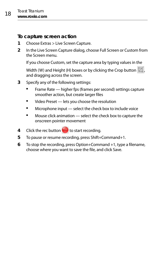#### **To capture screen action**

- **1** Choose Extras > Live Screen Capture.
- **2** In the Live Screen Capture dialog, choose Full Screen or Custom from the Screen menu.

If you choose Custom, set the capture area by typing values in the

Width (W) and Height (H) boxes or by clicking the Crop button  $\mathbb{Z}$ , and dragging across the screen.

- **3** Specify any of the following settings:
	- Frame Rate higher fps (frames per second) settings capture smoother action, but create larger files
	- **URED** Video Preset lets you choose the resolution
	- **Microphone input** select the check box to include voice
	- Mouse click animation select the check box to capture the onscreen pointer movement
- **4** Click the rec button to start recording.
- **5** To pause or resume recording, press Shift+Command+1.
- **6** To stop the recording, press Option+Command +1, type a filename, choose where you want to save the file, and click Save.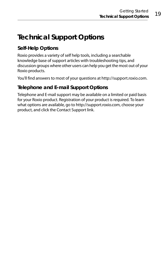## <span id="page-24-0"></span>**Technical Support Options**

#### **Self-Help Options**

Roxio provides a variety of self help tools, including a searchable knowledge base of support articles with troubleshooting tips, and discussion groups where other users can help you get the most out of your Roxio products.

You'll find answers to most of your questions at [http://support.roxio.com.](http://support.roxio.com)

#### **Telephone and E-mail Support Options**

Telephone and E-mail support may be available on a limited or paid basis for your Roxio product. Registration of your product is required. To learn what options are available, go to [h](http://support.roxio.com)ttp://support.roxio.com, choose your product, and click the Contact Support link.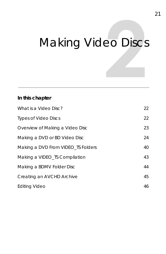# <span id="page-26-2"></span><span id="page-26-1"></span><span id="page-26-0"></span>**Making Video Discs**

#### **In this chapter**

| What is a Video Disc?              | 22 |
|------------------------------------|----|
| <b>Types of Video Discs</b>        | 22 |
| Overview of Making a Video Disc    | 23 |
| Making a DVD or BD Video Disc      | 24 |
| Making a DVD From VIDEO TS Folders | 40 |
| Making a VIDEO_TS Compilation      | 43 |
| Making a BDMV Folder Disc          | 44 |
| Creating an AVCHD Archive          | 45 |
| <b>Editing Video</b>               | 46 |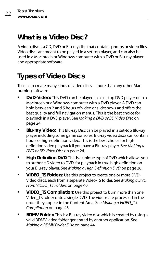## <span id="page-27-2"></span>**What is a Video Disc?**

A video disc is a CD, DVD or Blu-ray disc that contains photos or video files. Video discs are meant to be played in a set-top player, and can also be used in a Macintosh or Windows computer with a DVD or Blu-ray player and appropriate software.

## <span id="page-27-1"></span><span id="page-27-0"></span>**Types of Video Discs**

Toast can create many kinds of video discs—more than any other Mac burning software.

- **DVD-Video:** This DVD can be played in a set-top DVD player or in a Macintosh or a Windows computer with a DVD player. A DVD can hold between 2 and 5 hours of video or slideshows and offers the best quality and full navigation menus. This is the best choice for playback in a DVD player. See [Making a DVD or BD Video Disc](#page-29-0) on [page 24.](#page-29-0)
- **Blu-ray Video:** This Blu-ray Disc can be played in a set-top Blu-ray player including some game consoles. Blu-ray video discs can contain hours of high-definition video. This is the best choice for high definition video playback if you have a Blu-ray player. See [Making a](#page-29-0)  [DVD or BD Video Disc](#page-29-0) on page 24.
- **High Definition DVD**: This is a unique type of DVD which allows you to author HD video to DVD, for playback in true high definition on your Blu-ray player. See [Making a High Definition DVD](#page-31-0) on page 26.
- **VIDEO\_TS Folders:** Use this project to create one or more DVD-Video discs, each from a separate Video-TS folder. See [Making a DVD](#page-45-0)  [From VIDEO\\_TS Folders](#page-45-0) on page 40.
- **VIDEO\_TS Compilation:** Use this project to burn more than one Video TS folder onto a single DVD. The videos are processed in the order they appear in the Content Area. See Making a VIDEO TS [Compilation](#page-48-0) on page 43
- **BDMV Folder:** This is a Blu-ray video disc which is created by using a valid BDMV video folder generated by another application. See [Making a BDMV Folder Disc](#page-49-0) on page 44.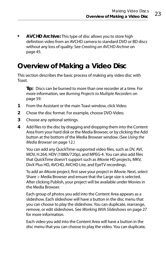**AVCHD Archive:** This type of disc allows you to store high definition video from an AVCHD camera to standard DVD or BD discs without any loss of quality. See [Creating an AVCHD Archive](#page-50-0) on [page 45.](#page-50-0)

## <span id="page-28-0"></span>**Overview of Making a Video Disc**

This section describes the basic process of making any video disc with Toast.

**Tip:** Discs can be burned to more than one recorder at a time. For more information, see [Burning Projects to Multiple Recorders](#page-64-1) on [page 59.](#page-64-1)

- **1** From the Assistant or the main Toast window, click Video.
- **2** Chose the disc format. For example, choose DVD-Video.
- **3** Choose any optional settings.
- **4** Add files to the disc by dragging and dropping them into the Content Area from your hard disk or the Media Browser, or by clicking the Add button at the bottom of the Media Browser window. (See [Using the](#page-17-1)  [Media Browser](#page-17-1) on page 12.)

You can add any QuickTime-supported video files, such as DV, AVI, MOV, H.264, HDV (1080i/720p), and MPEG-4. You can also add files that QuickTime doesn't support such as iMovie HD projects, MKV, DivX Plus HD, AVCHD, AVCHD Lite, and EyeTV recordings.

To add an iMovie project, first save your project in iMovie. Next, select Share > Media Browser and ensure that the Large size is selected. After clicking Publish, your project will be available under Movies in the Media Browser.

Each group of photos you add into the Content Area appears as a slideshow. Each slideshow will have a button in the disc menu that you can choose to play the slideshow. You can duplicate, rearrange, remove, or edit slideshows. See [Working With Slideshows](#page-32-0) on page 27 for more information.

Each video you add into the Content Area will have a button in the disc menu that you can choose to play the video. You can duplicate,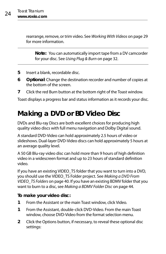rearrange, remove, or trim video. See [Working With Videos](#page-34-0) on page 29 for more information.

**Note:** You can automatically import tape from a DV camcorder for your disc. See [Using Plug & Burn](#page-37-0) on page 32.

- **5** Insert a blank, recordable disc.
- **6 Optional**: Change the destination recorder and number of copies at the bottom of the screen.
- **7** Click the red Burn button at the bottom right of the Toast window.

Toast displays a progress bar and status information as it records your disc.

## <span id="page-29-1"></span><span id="page-29-0"></span>**Making a DVD or BD Video Disc**

DVDs and Blu-ray Discs are both excellent choices for producing high quality video discs with full menu navigation and Dolby Digital sound.

A standard DVD-Video can hold approximately 2.5 hours of video or slideshows. Dual-layer DVD-Video discs can hold approximately 5 hours at an average quality level.

A 50 GB Blu-ray video disc can hold more than 9 hours of high definition video in a widescreen format and up to 23 hours of standard definition video.

If you have an existing VIDEO\_TS folder that you want to turn into a DVD, you should use the VIDEO\_TS Folder project. See [Making a DVD From](#page-45-0)  [VIDEO\\_TS Folders](#page-45-0) on page 40. If you have an existing BDMV folder that you want to burn to a disc, see [Making a BDMV Folder Disc](#page-49-0) on page 44.

#### **To make your video disc:**

- **1** From the Assistant or the main Toast window, click Video.
- **1** From the Assistant, double-click DVD-Video. From the main Toast window, choose DVD-Video from the format selection menu.
- **2** Click the Options button, if necessary, to reveal these optional disc settings: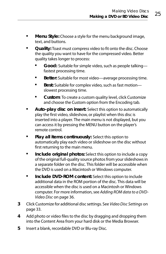- **Menu Style:** Choose a style for the menu background image, text, and buttons.
- **Quality:** Toast must compress video to fit onto the disc. Choose the quality you want to have for the compressed video. Better quality takes longer to process:
	- **Good:** Suitable for simple video, such as people talking fastest processing time.
	- **Better:** Suitable for most video—average processing time.
	- Best: Suitable for complex video, such as fast motion slowest processing time.
	- **Custom**: To create a custom quality level, click Customize and choose the Custom option from the Encoding tab.
- **Auto-play disc on insert:** Select this option to automatically play the first video, slideshow, or playlist when this disc is inserted into a player. The main menu is not displayed, but you can access it by pressing the MENU button on the player's remote control.
- **Play all items continuously:** Select this option to automatically play each video or slideshow on the disc without first returning to the main menu.
- **Include original photos:** Select this option to include a copy of the original full-quality source photos from your slideshows in a separate folder on the disc. This folder will be accessible when the DVD is used on a Macintosh or Windows computer.
- **Include DVD-ROM content:** Select this option to include additional data in the ROM portion of the disc. This data will be accessible when the disc is used on a Macintosh or Windows computer. For more information, see [Adding ROM data to a DVD-](#page-41-0)Video Disc [on page 36.](#page-41-0)
- **3** Click Customize for additional disc settings. See [Video Disc Settings](#page-38-0) on [page 33.](#page-38-0)
- **4** Add photo or video files to the disc by dragging and dropping them into the Content Area from your hard disk or the Media Browser.
- **5** Insert a blank, recordable DVD or Blu-ray Disc.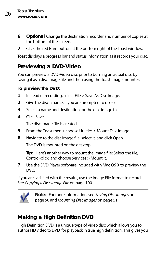- **6 Optional**: Change the destination recorder and number of copies at the bottom of the screen.
- **7** Click the red Burn button at the bottom right of the Toast window.

Toast displays a progress bar and status information as it records your disc.

#### **Previewing a DVD-Video**

You can preview a DVD-Video disc prior to burning an actual disc by saving it as a disc image file and then using the Toast Image mounter.

#### **To preview the DVD:**

- **1** Instead of recording, select File > Save As Disc Image.
- **2** Give the disc a name, if you are prompted to do so.
- **3** Select a name and destination for the disc image file.
- **4** Click Save.

The disc image file is created.

- **5** From the Toast menu, choose Utilities > Mount Disc Image.
- **6** Navigate to the disc image file, select it, and click Open.

The DVD is mounted on the desktop.

**Tip:** Here's another way to mount the image file: Select the file, Control-click, and choose Services > Mount It.

**7** Use the DVD Player software included with Mac OS X to preview the DVD.

If you are satisfied with the results, use the Image File format to record it. See [Copying a Disc Image File](#page-105-1) on page 100.



**Note:** For more information, see [Saving Disc Images](#page-55-1) on [page 50](#page-55-1) and [Mounting Disc Images](#page-56-1) on page 51.

#### <span id="page-31-0"></span>**Making a High Definition DVD**

High Definition DVD is a unique type of video disc which allows you to author HD video to DVD, for playback in true high definition. This gives you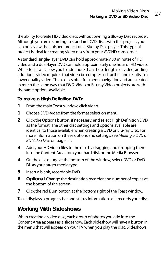the ability to create HD video discs without owning a Blu-ray Disc recorder. Although you are recording to standard DVD discs with this project, you can only view the finished project on a Blu-ray Disc player. This type of project is ideal for creating video discs from your AVCHD camcorder.

A standard, single-layer DVD can hold approximately 30 minutes of HD video and a dual-layer DVD can hold approximately one hour of HD video. While Toast will allow you to add more than these lengths of video, adding additional video requires that video be compressed further and results in a lower quality video. These discs offer full menu navigation and are created in much the same way that DVD-Video or Blu-ray Video projects are with the same options available.

#### **To make a High Definition DVD:**

- **1** From the main Toast window, click Video.
- **1** Choose DVD-Video from the format selection menu.
- **2** Click the Options button, if necessary, and select High Definition DVD as the format. The other disc settings and options available are identical to those available when creating a DVD or Blu-ray Disc. For more information on these options and settings, see [Making a DVD or](#page-29-0)  [BD Video Disc](#page-29-0) on page 24.
- **3** Add your HD video files to the disc by dragging and dropping them into the Content Area from your hard disk or the Media Browser.
- **4** On the disc gauge at the bottom of the window, select DVD or DVD DL as your target media type.
- **5** Insert a blank, recordable DVD.
- **6 Optional**: Change the destination recorder and number of copies at the bottom of the screen.
- **7** Click the red Burn button at the bottom right of the Toast window.

Toast displays a progress bar and status information as it records your disc.

#### <span id="page-32-0"></span>**Working With Slideshows**

When creating a video disc, each group of photos you add into the Content Area appears as a slideshow. Each slideshow will have a button in the menu that will appear on your TV when you play the disc. Slideshows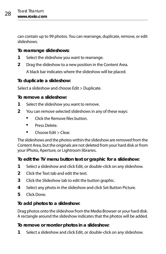can contain up to 99 photos. You can rearrange, duplicate, remove, or edit slideshows.

#### **To rearrange slideshows:**

- **1** Select the slideshow you want to rearrange.
- **2** Drag the slideshow to a new position in the Content Area.

A black bar indicates where the slideshow will be placed.

#### **To duplicate a slideshow:**

Select a slideshow and choose Edit > Duplicate.

#### **To remove a slideshow:**

- **1** Select the slideshow you want to remove.
- **2** You can remove selected slideshows in any of these ways:
	- **EXECUTE:** Click the Remove files button.
	- **Press Delete.**
	- Choose Edit > Clear.

The slideshows and the photos within the slideshow are removed from the Content Area, but the originals are not deleted from your hard disk or from your iPhoto, Aperture, or Lightroom libraries.

#### **To edit the TV menu button text or graphic for a slideshow:**

- **1** Select a slideshow and click Edit, or double-click on any slideshow.
- **2** Click the Text tab and edit the text.
- **3** Click the Slideshow tab to edit the button graphic.
- **4** Select any photo in the slideshow and click Set Button Picture.
- **5** Click Done.

#### **To add photos to a slideshow:**

Drag photos onto the slideshow from the Media Browser or your hard disk. A rectangle around the slideshow indicates that the photos will be added.

#### **To remove or reorder photos in a slideshow:**

**1** Select a slideshow and click Edit, or double-click on any slideshow.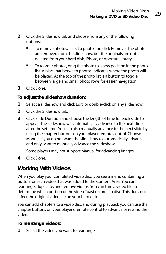- **2** Click the Slideshow tab and choose from any of the following options:
	- **The Follow Exercise System System** To remove. The photos are removed from the slideshow, but the originals are not deleted from your hard disk, iPhoto, or Aperture library.
	- To reorder photos, drag the photo to a new position in the photo list. A black bar between photos indicates where the photo will be placed. At the top of the photo list is a button to toggle between large and small photo rows for easier navigation.
- **3** Click Done.

#### **To adjust the slideshow duration:**

- **1** Select a slideshow and click Edit, or double-click on any slideshow.
- **2** Click the Slideshow tab.
- **3** Click Slide Duration and choose the length of time for each slide to appear. The slideshow will automatically advance to the next slide after the set time. You can also manually advance to the next slide by using the chapter buttons on your player remote control. Choose Manual if you do not want the slideshow to automatically advance, and only want to manually advance the slideshow.

Some players may not support Manual for advancing images.

**4** Click Done.

#### <span id="page-34-0"></span>**Working With Videos**

When you play your completed video disc, you see a menu containing a button for each video that was added to the Content Area. You can rearrange, duplicate, and remove videos. You can trim a video file to determine which portion of the video Toast records to disc. This does not affect the original video file on your hard disk.

You can add chapters to a video disc and during playback you can use the chapter buttons on your player's remote control to advance or rewind the video.

#### **To rearrange videos:**

**1** Select the video you want to rearrange.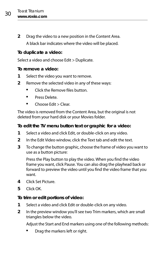**2** Drag the video to a new position in the Content Area. A black bar indicates where the video will be placed.

#### **To duplicate a video:**

Select a video and choose Edit > Duplicate.

#### **To remove a video:**

- **1** Select the video you want to remove.
- **2** Remove the selected video in any of these ways:
	- **E** Click the Remove files button
	- **Press Delete.**
	- $\blacksquare$  Choose Edit > Clear.

The video is removed from the Content Area, but the original is not deleted from your hard disk or your Movies folder.

#### **To edit the TV menu button text or graphic for a video:**

- **1** Select a video and click Edit, or double-click on any video.
- **2** In the Edit Video window, click the Text tab and edit the text.
- **3** To change the button graphic, choose the frame of video you want to use as a button picture:

Press the Play button to play the video. When you find the video frame you want, click Pause. You can also drag the playhead back or forward to preview the video until you find the video frame that you want.

- **4** Click Set Picture.
- **5** Click OK.

#### **To trim or edit portions of video:**

- **1** Select a video and click Edit or double-click on any video.
- **2** In the preview window you'll see two Trim markers, which are small triangles below the video.

Adjust the Start and End markers using one of the following methods:

Drag the markers left or right.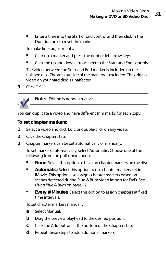Enter a time into the Start or End control and then click in the Duration box to reset the marker.

To make finer adjustments:

- Click on a marker and press the right or left arrow keys.
- Click the up and down arrows next to the Start and End controls.

The video between the Start and End marker is included on the finished disc. The area outside of the markers is excluded. The original video on your hard disk is unaffected.

**3** Click OK.



**Note:** Editing is nondestructive.

You can duplicate a video and have different trim marks for each copy.

#### **To set chapter markers:**

- **1** Select a video and click Edit, or double-click on any video.
- **2** Click the Chapters tab.
- **3** Chapter markers can be set automatically or manually.

To set markers automatically, select Automatic. Choose one of the following from the pull-down menu:

- **None**: Select this option to have no chapter markers on the disc.
- **Automatic**: Select this option to use chapter markers set in iMovie. This option also assigns chapter markers based on scenes detected during Plug & Burn video import for DVD. See [Using Plug & Burn](#page-37-0) on page 32.
- **Every # Minutes**: Select this option to assign chapters at fixed time intervals.

To set chapter markers manually:

- **a** Select Manual.
- **b** Drag the preview playhead to the desired position.
- **c** Click the Add button at the bottom of the Chapters tab.
- **d** Repeat these steps to add additional markers.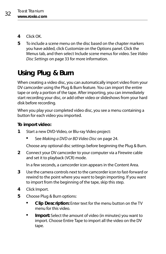- **4** Click OK.
- **5** To include a scene menu on the disc based on the chapter markers you have added, click Customize on the Options panel. Click the Menus tab, and then select Include scene menus for video. See [Video](#page-38-0)  [Disc Settings](#page-38-0) on page 33 for more information.

# <span id="page-37-0"></span>**Using Plug & Burn**

When creating a video disc, you can automatically import video from your DV camcorder using the Plug & Burn feature. You can import the entire tape or only a portion of the tape. After importing, you can immediately start recording your disc, or add other video or slideshows from your hard disk before recording.

When you play your completed video disc, you see a menu containing a button for each video you imported.

#### **To import video:**

- **1** Start a new DVD-Video, or Blu-ray Video project:
	- See [Making a DVD or BD Video Disc](#page-29-0) on page 24.

Choose any optional disc settings before beginning the Plug & Burn.

**2** Connect your DV camcorder to your computer via a Firewire cable and set it to playback (VCR) mode.

In a few seconds, a camcorder icon appears in the Content Area.

- **3** Use the camera controls next to the camcorder icon to fast-forward or rewind to the point where you want to begin importing. If you want to import from the beginning of the tape, skip this step.
- **4** Click Import.
- **5** Choose Plug & Burn options:
	- **Clip Description:** Enter text for the menu button on the TV menu for this video.
	- **Import:** Select the amount of video (in minutes) you want to import. Choose Entire Tape to import all the video on the DV tape.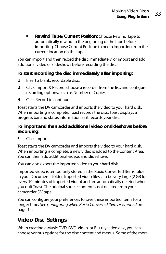**Rewind Tape/Current Position:** Choose Rewind Tape to automatically rewind to the beginning of the tape before importing. Choose Current Position to begin importing from the current location on the tape.

You can import and then record the disc immediately, or import and add additional video or slideshows before recording the disc.

#### **To start recording the disc immediately after importing:**

- **1** Insert a blank, recordable disc.
- **2** Click Import & Record, choose a recorder from the list, and configure recording options, such as Number of Copies.
- **3** Click Record to continue.

Toast starts the DV camcorder and imports the video to your hard disk. When importing is complete, Toast records the disc. Toast displays a progress bar and status information as it records your disc.

#### **To import and then add additional video or slideshows before recording:**

**Click Import.** 

Toast starts the DV camcorder and imports the video to your hard disk. When importing is complete, a new video is added to the Content Area. You can then add additional videos and slideshows.

You can also export the imported video to your hard disk.

Imported video is temporarily stored in the Roxio Converted Items folder in your Documents folder. Imported video files can be very large (2 GB for every 10 minutes of imported video) and are automatically deleted when you quit Toast. The original source content is not deleted from your camcorder DV tape.

You can configure your preferences to save these imported items for a longer time. See [Configuring when Roxio Converted Items is emptied](#page-19-0) on [page 14.](#page-19-0)

### <span id="page-38-0"></span>**Video Disc Settings**

When creating a Music DVD, DVD-Video, or Blu-ray video disc, you can choose various options for the disc content and menus. Some of the more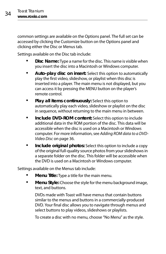common settings are available on the Options panel. The full set can be accessed by clicking the Customize button on the Options panel and clicking either the Disc or Menus tab.

Settings available on the Disc tab include:

- **Disc Name:** Type a name for the disc. This name is visible when you insert the disc into a Macintosh or Windows computer.
- **Auto-play disc on insert:** Select this option to automatically play the first video, slideshow, or playlist when this disc is inserted into a player. The main menu is not displayed, but you can access it by pressing the MENU button on the player's remote control.
- **Play all items continuously:** Select this option to automatically play each video, slideshow or playlist on the disc in sequence, without returning to the main menu in between.
- **Include DVD-ROM content:** Select this option to include additional data in the ROM portion of the disc. This data will be accessible when the disc is used on a Macintosh or Windows computer. For more information, see [Adding ROM data to a DVD-](#page-41-0)Video Disc [on page 36.](#page-41-0)
- **Include original photos:** Select this option to include a copy of the original full-quality source photos from your slideshows in a separate folder on the disc. This folder will be accessible when the DVD is used on a Macintosh or Windows computer.

Settings available on the Menus tab include:

- **Menu Title:** Type a title for the main menu.
- **Menu Style:** Choose the style for the menu background image, text, and buttons.

DVDs made with Toast will have menus that contain buttons similar to the menus and buttons in a commercially-produced DVD. Your final disc allows you to navigate through menus and select buttons to play videos, slideshows or playlists.

To create a disc with no menu, choose "No Menu" as the style.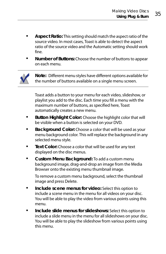- **Aspect Ratio:** This setting should match the aspect ratio of the source video. In most cases, Toast is able to detect the aspect ratio of the source video and the Automatic setting should work fine.
- **Number of Buttons:** Choose the number of buttons to appear on each menu.



**Note:** Different menu styles have different options available for the number of buttons available on a single menu screen.

Toast adds a button to your menu for each video, slideshow, or playlist you add to the disc. Each time you fill a menu with the maximum number of buttons, as specified here, Toast automatically creates a new menu.

- **Button Highlight Color:** Choose the highlight color that will be visible when a button is selected on your DVD.
- **Background Color:** Choose a color that will be used as your menu background color. This will replace the background in any selected menu style.
- **Text Color:** Choose a color that will be used for any text displayed on the disc menus.
- **Custom Menu Background:** To add a custom menu background image, drag-and-drop an image from the Media Browser onto the existing menu thumbnail image.

To remove a custom menu background, select the thumbnail image and press Delete.

- **Include scene menus for video:** Select this option to include a scene menu in the menu for all videos on your disc. You will be able to play the video from various points using this menu.
- **Include slide menus for slideshows:** Select this option to include a slide menu in the menu for all slideshows on your disc. You will be able to play the slideshow from various points using this menu.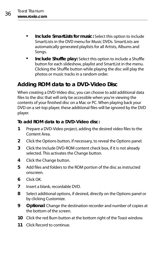- **Include SmartLists for music:** Select this option to include SmartLists in the DVD menu for Music DVDs. SmartLists are automatically generated playlists for all Artists, Albums and Songs.
- **Include Shuffle play:** Select this option to include a Shuffle button for each slideshow, playlist and SmartList in the menu. Clicking the Shuffle button while playing the disc will play the photos or music tracks in a random order.

### <span id="page-41-0"></span>**Adding ROM data to a DVD-Video Disc**

When creating a DVD-Video disc, you can choose to add additional data files to the disc that will only be accessible when you're viewing the contents of your finished disc on a Mac or PC. When playing back your DVD on a set-top player, these additional files will be ignored by the DVD player.

#### **To add ROM data to a DVD-Video disc:**

- **1** Prepare a DVD-Video project, adding the desired video files to the Content Area.
- **2** Click the Options button, if necessary, to reveal the Options panel.
- **3** Click the Include DVD-ROM content check box, if it is not already selected. This activates the Change button.
- **4** Click the Change button.
- **5** Add files and folders to the ROM portion of the disc as instructed onscreen.
- **6** Click OK.
- **7** Insert a blank, recordable DVD.
- **8** Select additional options, if desired, directly on the Options panel or by clicking Customize.
- **9 Optional**: Change the destination recorder and number of copies at the bottom of the screen.
- **10** Click the red Burn button at the bottom right of the Toast window.
- **11** Click Record to continue.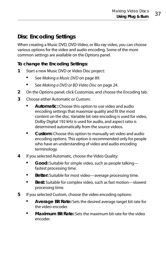### **Disc Encoding Settings**

When creating a Music DVD, DVD-Video, or Blu-ray video, you can choose various options for the video and audio encoding. Some of the more common settings are available on the Options panel.

#### **To change the Encoding Settings:**

- **1** Start a new Music DVD or Video Disc project:
	- See [Making a Music DVD](#page-94-0) on page 89.
	- See [Making a DVD or BD Video Disc](#page-29-0) on page 24.
- **2** On the Options panel, click Customize, and choose the Encoding tab.
- **3** Choose either Automatic or Custom:
	- **Automatic:** Choose this option to use video and audio encoding settings that maximize quality and fit the most content on the disc. Variable bit rate encoding is used for video, Dolby Digital 192 kHz is used for audio, and aspect ratio is determined automatically from the source videos.
	- **Custom:** Choose this option to manually set video and audio encoding options. This option is recommended only for people who have an understanding of video and audio encoding terminology.
- **4** If you selected Automatic, choose the Video Quality:
	- **Good:** Suitable for simple video, such as people talking fastest processing time.
	- **Better:** Suitable for most video—average processing time.
	- **Best:** Suitable for complex video, such as fast motion—slowest processing time.
- **5** If you selected Custom, choose the video encoding options:
	- **Average Bit Rate:** Sets the desired average target bit rate for the video encoder.
	- **Maximum Bit Rate:** Sets the maximum bit rate for the video encoder.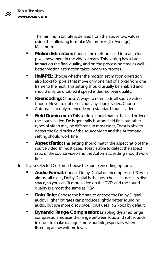The minimum bit rate is derived from the above two values using the following formula: Minimum  $= (2 \times Average) -$ Maximum.

- **Motion Estimation:** Choose the method used to search for pixel movement in the video stream. This setting has a large impact on the final quality, and on the processing time as well. Better motion estimation takes longer to process.
- **Half-PEL:** Choose whether the motion estimation operation also looks for pixels that move only one half of a pixel from one frame to the next. This setting should usually be enabled and should only be disabled if speed is desired over quality.
- **Reencoding:** Choose Always to re-encode all source video. Choose Never to not re-encode any source video. Choose Automatic to only re-encode non-standard source video.
- **Field Dominance:** This setting should match the field order of the source video. DV is generally bottom field first, but other types of video may be different. In most cases, Toast is able to detect the field order of the source video and the Automatic setting should work fine.
- **Aspect Ratio:** This setting should match the aspect ratio of the source video. In most cases, Toast is able to detect the aspect ratio of the source video and the Automatic setting should work fine.
- **6** If you selected Custom, choose the audio encoding options:
	- **Audio Format:** Choose Dolby Digital or uncompressed PCM. In almost all cases, Dolby Digital is the best choice. It uses less disc space, so you can fit more video on the DVD, and the sound quality is almost the same as PCM.
	- **Data Rate:** Choose the bit rate to encode the Dolby Digital audio. Higher bit rates can produce slightly better sounding audio, but use more disc space. Toast uses 192 kbps by default.
	- **Dynamic Range Compression:** Enabling dynamic range compression reduces the range between loud and soft sounds in order to make dialogue more audible, especially when listening at low volume levels.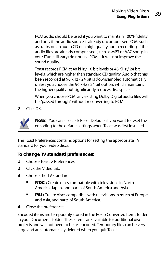PCM audio should be used if you want to maintain 100% fidelity and only if the audio source is already uncompressed PCM, such as tracks on an audio CD or a high quality audio recording. If the audio files are already compressed (such as MP3 or AAC songs in your iTunes library) do not use PCM—it will not improve the sound quality.

Toast records PCM at 48 kHz / 16 bit levels or 48 KHz / 24 bit levels, which are higher than standard CD quality. Audio that has been recorded at 96 kHz / 24 bit is downsampled automatically unless you choose the 96 kHz / 24 bit option, which maintains the higher quality but significantly reduces disc space.

When you choose PCM, any existing Dolby Digital audio files will be "passed through" without reconverting to PCM.

**7** Click OK.



**Note:** You can also click Reset Defaults if you want to reset the encoding to the default settings when Toast was first installed.

The Toast Preferences contains options for setting the appropriate TV standard for your video discs.

#### **To change TV standard preferences:**

- **1** Choose Toast > Preferences.
- **2** Click the Video tab.
- **3** Choose the TV standard:
	- **NTSC:** Create discs compatible with televisions in North America, Japan, and parts of South America and Asia.
	- **PAL:** Create discs compatible with televisions in much of Europe and Asia, and parts of South America.
- **4** Close the preferences.

Encoded items are temporarily stored in the Roxio Converted Items folder in your Documents folder. These items are available for additional disc projects and will not need to be re-encoded. Temporary files can be very large and are automatically deleted when you quit Toast.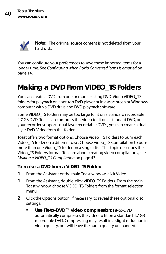

**Note:** The original source content is not deleted from your hard disk.

You can configure your preferences to save these imported items for a longer time. See [Configuring when Roxio Converted Items is emptied](#page-19-0) on [page 14.](#page-19-0)

# **Making a DVD From VIDEO\_TS Folders**

You can create a DVD from one or more existing DVD-Video VIDEO\_TS folders for playback on a set-top DVD player or in a Macintosh or Windows computer with a DVD drive and DVD playback software.

Some VIDEO\_TS folders may be too large to fit on a standard recordable 4.7 GB DVD. Toast can compress this video to fit on a standard DVD, or if your recorder supports dual-layer recordable DVDs, you can create a duallayer DVD-Video from this folder.

Toast offers two format options: Choose Video TS Folders to burn each Video\_TS folder on a different disc. Choose Video\_TS Compilation to burn more than one Video. TS folder on a single disc. This topic describes the Video\_TS Folders format. To learn about creating video compilations, see Making a VIDEO TS Compilation on page 43.

#### **To make a DVD from a VIDEO\_TS Folder:**

- **1** From the Assistant or the main Toast window, click Video.
- **1** From the Assistant, double-click VIDEO\_TS Folders. From the main Toast window, choose VIDEO\_TS Folders from the format selection menu.
- **2** Click the Options button, if necessary, to reveal these optional disc settings:
	- **Use Fit-to-DVD™ video compression:** Fit-to-DVD automatically compresses the video to fit on a standard 4.7 GB recordable DVD. Compressing may result in a slight reduction in video quality, but will leave the audio quality unchanged.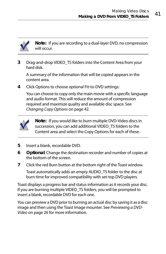

**Note:** If you are recording to a dual-layer DVD, no compression will occur.

**3** Drag-and-drop VIDEO\_TS folders into the Content Area from your hard disk.

A summary of the information that will be copied appears in the content area.

**4** Click Options to choose optional Fit-to-DVD settings:

You can choose to copy only the main movie with a specific language and audio format. This will reduce the amount of compression required and maximize quality and available disc space. See [Changing Copy Options](#page-47-0) on page 42.



**Note:** If you would like to burn multiple DVD-Video discs in succession, you can add additional VIDEO\_TS folders to the Content area and select the Copy Options for each of these.

- **5** Insert a blank, recordable DVD.
- **6 Optional**: Change the destination recorder and number of copies at the bottom of the screen.
- **7** Click the red Burn button at the bottom right of the Toast window.

Toast automatically adds an empty AUDIO\_TS folder to the disc at burn time for improved compatibility with set-top DVD players.

Toast displays a progress bar and status information as it records your disc. If you are burning multiple VIDEO\_TS folders, you will be prompted to insert a blank, recordable DVD for each one.

You can preview a DVD prior to burning an actual disc by saving it as a disc image and then using the Toast Image mounter. See [Previewing a DVD-](#page-31-0)Video [on page 26](#page-31-0) for more information.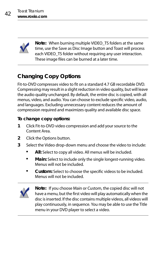

**Note:** When burning multiple VIDEO\_TS folders at the same time, use the Save as Disc Image button and Toast will process each VIDEO TS folder without requiring any user interaction. These image files can be burned at a later time.

### <span id="page-47-0"></span>**Changing Copy Options**

Fit-to-DVD compresses video to fit on a standard 4.7 GB recordable DVD. Compressing may result in a slight reduction in video quality, but will leave the audio quality unchanged. By default, the entire disc is copied, with all menus, video, and audio. You can choose to exclude specific video, audio, and languages. Excluding unnecessary content reduces the amount of compression required and maximizes quality and available disc space.

#### **To change copy options:**

- **1** Click Fit-to-DVD video compression and add your source to the Content Area.
- **2** Click the Options button.
- **3** Select the Video drop-down menu and choose the video to include:
	- **All:** Select to copy all video. All menus will be included.
	- **Main:** Select to include only the single longest-running video. Menus will not be included.
	- **Custom:** Select to choose the specific videos to be included. Menus will not be included.



**Note:** If you choose Main or Custom, the copied disc will not have a menu, but the first video will play automatically when the disc is inserted. If the disc contains multiple videos, all videos will play continuously, in sequence. You may be able to use the Title menu in your DVD player to select a video.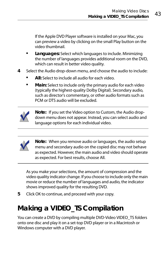If the Apple DVD Player software is installed on your Mac, you can preview a video by clicking on the small Play button on the video thumbnail.

- **Languages:** Select which languages to include. Minimizing the number of languages provides additional room on the DVD, which can result in better video quality.
- **4** Select the Audio drop-down menu, and choose the audio to include:
	- **All:** Select to include all audio for each video.
	- **Main:** Select to include only the primary audio for each video (typically the highest-quality Dolby Digital). Secondary audio, such as director's commentary, or other audio formats such as PCM or DTS audio will be excluded.



**Note:** If you set the Video option to Custom, the Audio dropdown menu does not appear. Instead, you can select audio and language options for each individual video.



**Note:** When you remove audio or languages, the audio setup menu and secondary audio on the copied disc may not behave as expected. However, the main audio and video should operate as expected. For best results, choose All.

As you make your selections, the amount of compression and the video quality indicator change. If you choose to include only the main movie or reduce the number of languages and audio, the indicator shows improved quality for the resulting DVD.

**5** Click OK to continue, and proceed with your copy.

# <span id="page-48-0"></span>**Making a VIDEO\_TS Compilation**

You can create a DVD by compiling multiple DVD-Video VIDEO TS folders onto one disc and play it on a set-top DVD player or in a Macintosh or Windows computer with a DVD player.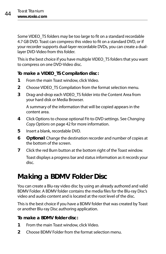Some VIDEO\_TS folders may be too large to fit on a standard recordable 4.7 GB DVD. Toast can compress this video to fit on a standard DVD, or if your recorder supports dual-layer recordable DVDs, you can create a duallayer DVD-Video from this folder.

This is the best choice if you have multiple VIDEO\_TS folders that you want to compress on one DVD-Video disc.

#### **To make a VIDEO\_TS Compilation disc:**

- **1** From the main Toast window, click Video.
- **2** Choose VIDEO\_TS Compilation from the format selection menu.
- **3** Drag-and-drop each VIDEO\_TS folder into the Content Area from your hard disk or Media Browser.

A summary of the information that will be copied appears in the content area.

- **4** Click Options to choose optional Fit-to-DVD settings. See [Changing](#page-47-0)  [Copy Options](#page-47-0) on page 42 for more information.
- **5** Insert a blank, recordable DVD.
- **6 Optional**: Change the destination recorder and number of copies at the bottom of the screen.
- **7** Click the red Burn button at the bottom right of the Toast window.

Toast displays a progress bar and status information as it records your disc.

## **Making a BDMV Folder Disc**

You can create a Blu-ray video disc by using an already authored and valid BDMV Folder. A BDMV folder contains the media files for the Blu-ray Disc's video and audio content and is located at the root level of the disc.

This is the best choice if you have a BDMV folder that was created by Toast or another Blu-ray Disc authoring application.

#### **To make a BDMV folder disc:**

- **1** From the main Toast window, click Video.
- **2** Choose BDMV Folder from the format selection menu.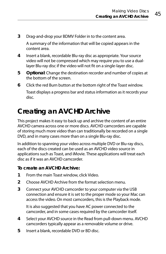**3** Drag-and-drop your BDMV Folder in to the content area.

A summary of the information that will be copied appears in the content area.

- **4** Insert a blank, recordable Blu-ray disc as appropriate. Your source video will not be compressed which may require you to use a duallayer Blu-ray disc if the video will not fit on a single-layer disc.
- **5 Optional**: Change the destination recorder and number of copies at the bottom of the screen.
- **6** Click the red Burn button at the bottom right of the Toast window.

Toast displays a progress bar and status information as it records your disc.

## **Creating an AVCHD Archive**

This project makes it easy to back up and archive the content of an entire AVCHD camera across one or more discs. AVCHD camcorders are capable of storing much more video than can traditionally be recorded on a single DVD, and in many cases more than on a single Blu-ray disc.

In addition to spanning your video across multiple DVD or Blu-ray discs, each of the discs created can be used as an AVCHD video source in applications such as Toast, and iMovie. These applications will treat each disc as if it was an AVCHD camcorder.

#### **To create an AVCHD Archive:**

- **1** From the main Toast window, click Video.
- **2** Choose AVCHD Archive from the format selection menu.
- **3** Connect your AVCHD camcorder to your computer via the USB connection and ensure it is set to the proper mode so your Mac can access the video. On most camcorders, this is the Playback mode.

It is also suggested that you have AC power connected to the camcorder, and in some cases required by the camcorder itself.

- **4** Select your AVCHD source in the Read from pull-down menu. AVCHD camcorders typically appear as a removable volume or drive.
- **5** Insert a blank, recordable DVD or BD disc.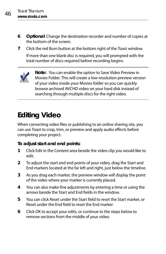- **6 Optional**: Change the destination recorder and number of copies at the bottom of the screen.
- **7** Click the red Burn button at the bottom right of the Toast window.

If more than one blank disc is required, you will prompted with the total number of discs required before recording begins.



**Note:** You can enable the option to Save Video Preview in Movies Folder. This will create a low-resolution preview version of your video inside your Movies folder so you can quickly browse archived AVCHD video on your hard disk instead of searching through multiple discs for the right video.

# **Editing Video**

When converting video files or publishing to an online sharing site, you can use Toast to crop, trim, or preview and apply audio effects before completing your project.

#### **To adjust start and end points:**

- **1** Click Edit in the Content area beside the video clip you would like to edit.
- **2** To adjust the start and end points of your video, drag the Start and End markers located at the far left and right, just below the timeline.
- **3** As you drag each marker, the preview window will display the point of the video where your marker is currently placed.
- **4** You can also make fine adjustments by entering a time or using the arrows beside the Start and End fields in the window.
- **5** You can click Reset under the Start field to reset the Start marker, or Reset under the End field to reset the End marker
- **6** Click OK to accept your edits, or continue to the steps below to remove sections from the middle of your video.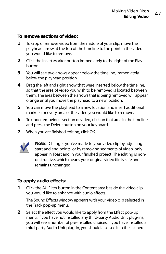**To remove sections of video:**

- **1** To crop or remove video from the middle of your clip, move the playhead arrow at the top of the timeline to the point in the video you would like to remove.
- **2** Click the Insert Marker button immediately to the right of the Play button.
- **3** You will see two arrows appear below the timeline, immediately below the playhead position.
- **4** Drag the left and right arrow that were inserted below the timeline, so that the area of video you wish to be removed is located between them. The area between the arrows that is being removed will appear orange until you move the playhead to a new location.
- **5** You can move the playhead to a new location and insert additional markers for every area of the video you would like to remove.
- **6** To undo removing a section of video, click on that area in the timeline and press the Delete button on your keyboard.
- **7** When you are finished editing, click OK.



#### **To apply audio effects:**

**1** Click the AU Filter button in the Content area beside the video clip you would like to enhance with audio effects.

The Sound Effects window appears with your video clip selected in the Track pop-up menu.

**2** Select the effect you would like to apply from the Effect pop-up menu. If you have not installed any third-party Audio Unit plug-ins, you will see a number of pre-installed choices. If you have installed a third-party Audio Unit plug-in, you should also see it in the list here.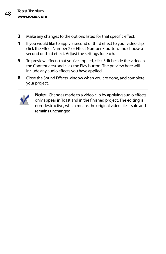- **3** Make any changes to the options listed for that specific effect.
- **4** If you would like to apply a second or third effect to your video clip, click the Effect Number 2 or Effect Number 3 button, and choose a second or third effect. Adjust the settings for each.
- **5** To preview effects that you've applied, click Edit beside the video in the Content area and click the Play button. The preview here will include any audio effects you have applied.
- **6** Close the Sound Effects window when you are done, and complete your project.



**Note:** Changes made to a video clip by applying audio effects only appear in Toast and in the finished project. The editing is non-destructive, which means the original video file is safe and remains unchanged.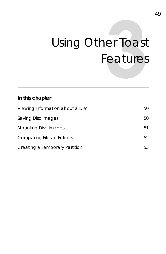# Using Other Toast Features

### **In this chapter**

| Viewing Information about a Disc | 50 |
|----------------------------------|----|
| Saving Disc Images               | 50 |
| Mounting Disc Images             | 51 |
| Comparing Files or Folders       | 52 |
| Creating a Temporary Partition   | 53 |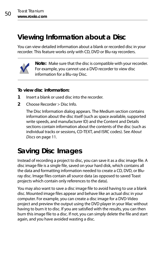### <span id="page-55-0"></span>**Viewing Information about a Disc**

You can view detailed information about a blank or recorded disc in your recorder. This feature works only with CD, DVD or Blu-ray recorders.



**Note:** Make sure that the disc is compatible with your recorder. For example, you cannot use a DVD recorder to view disc information for a Blu-ray Disc.

#### **To view disc information:**

- **1** Insert a blank or used disc into the recorder.
- **2** Choose Recorder > Disc Info.

The Disc Information dialog appears. The Medium section contains information about the disc itself (such as space available, supported write speeds, and manufacturer ID) and the Content and Details sections contain information about the contents of the disc (such as individual tracks or sessions, CD-TEXT, and ISRC codes). See [About](#page-16-0)  Discs [on page 11](#page-16-0).

## <span id="page-55-1"></span>**Saving Disc Images**

Instead of recording a project to disc, you can save it as a disc image file. A disc image file is a single file, saved on your hard disk, which contains all the data and formatting information needed to create a CD, DVD, or Bluray disc. Image files contain all source data (as opposed to saved Toast projects which contain only references to the data).

You may also want to save a disc image file to avoid having to use a blank disc. Mounted image files appear and behave like an actual disc in your computer. For example, you can create a disc image for a DVD-Video project and preview the output using the DVD player in your Mac without having to burn it to disc. If you are satisfied with the results, you can then burn this image file to a disc. If not, you can simply delete the file and start again, and you have avoided wasting a disc.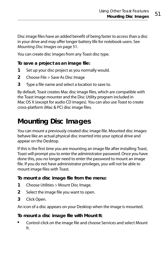Disc image files have an added benefit of being faster to access than a disc in your drive and may offer longer battery life for notebook users. See [Mounting Disc Images](#page-56-0) on page 51.

You can create disc images from any Toast disc type.

**To save a project as an image file:**

- **1** Set up your disc project as you normally would.
- **2** Choose File > Save As Disc Image
- **3** Type a file name and select a location to save to.

By default, Toast creates Mac disc image files, which are compatible with the Toast image mounter and the Disc Utility program included in Mac OS X (except for audio CD images). You can also use Toast to create cross-platform (Mac & PC) disc image files.

# <span id="page-56-0"></span>**Mounting Disc Images**

You can mount a previously created disc image file. Mounted disc images behave like an actual physical disc inserted into your optical drive and appear on the Desktop.

If this is the first time you are mounting an image file after installing Toast, Toast will prompt you to enter the administrator password. Once you have done this, you no longer need to enter the password to mount an image file. If you do not have administrator privileges, you will not be able to mount image files with Toast.

#### **To mount a disc image file from the menu:**

- **1** Choose Utilities > Mount Disc Image.
- **2** Select the image file you want to open.
- **3** Click Open.

An icon of a disc appears on your Desktop when the image is mounted.

#### **To mount a disc image file with Mount It:**

 Control-click on the image file and choose Services and select Mount It.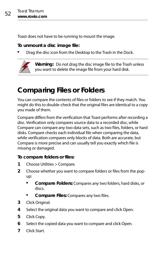Toast does not have to be running to mount the image.

#### **To unmount a disc image file:**

Drag the disc icon from the Desktop to the Trash in the Dock.



**Warning:** Do not drag the disc image file to the Trash unless you want to delete the image file from your hard disk.

# <span id="page-57-0"></span>**Comparing Files or Folders**

You can compare the contents of files or folders to see if they match. You might do this to double-check that the original files are identical to a copy you made of them.

Compare differs from the verification that Toast performs after recording a disc. Verification only compares source data to a recorded disc, while Compare can compare any two data sets, such as two files, folders, or hard disks. Compare checks each individual file when comparing the data, while verification compares only blocks of data. Both are accurate, but Compare is more precise and can usually tell you exactly which file is missing or damaged.

#### **To compare folders or files:**

- **1** Choose Utilities > Compare.
- **2** Choose whether you want to compare folders or files from the popup:
	- **Compare Folders:** Compares any two folders, hard disks, or discs.
	- **Compare Files:** Compares any two files.
- **3** Click Original.
- **4** Select the original data you want to compare and click Open.
- **5** Click Copy.
- **6** Select the copied data you want to compare and click Open.
- **7** Click Start.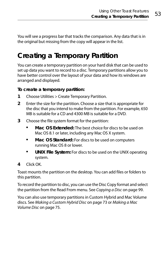You will see a progress bar that tracks the comparison. Any data that is in the original but missing from the copy will appear in the list.

# <span id="page-58-0"></span>**Creating a Temporary Partition**

You can create a temporary partition on your hard disk that can be used to set up data you want to record to a disc. Temporary partitions allow you to have better control over the layout of your data and how its windows are arranged and displayed.

#### **To create a temporary partition:**

- **1** Choose Utilities > Create Temporary Partition.
- **2** Enter the size for the partition. Choose a size that is appropriate for the disc that you intend to make from the partition. For example, 650 MB is suitable for a CD and 4300 MB is suitable for a DVD.
- **3** Choose the file system format for the partition:
	- **Mac OS Extended:** The best choice for discs to be used on Mac OS 8.1 or later, including any Mac OS X system.
	- **Mac OS Standard:** For discs to be used on computers running Mac OS 8 or lower.
	- **UNIX File System:** For discs to be used on the UNIX operating system.
- **4** Click OK.

Toast mounts the partition on the desktop. You can add files or folders to this partition.

To record the partition to disc, you can use the Disc Copy format and select the partition from the Read From menu. See [Copying a Disc](#page-104-0) on page 99.

You can also use temporary partitions in Custom Hybrid and Mac Volume discs. See [Making a Custom Hybrid Disc](#page-78-0) on page 73 or [Making a Mac](#page-80-0)  [Volume Disc](#page-80-0) on page 75.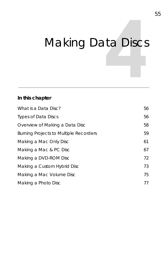# Making Data Discs

### **In this chapter**

| What is a Data Disc?                          | 56 |
|-----------------------------------------------|----|
| <b>Types of Data Discs</b>                    | 56 |
| Overview of Making a Data Disc                | 58 |
| <b>Burning Projects to Multiple Recorders</b> | 59 |
| Making a Mac Only Disc                        | 61 |
| Making a Mac & PC Disc                        | 67 |
| Making a DVD-ROM Disc                         | 72 |
| Making a Custom Hybrid Disc                   | 73 |
| Making a Mac Volume Disc                      | 75 |
| Making a Photo Disc                           | 77 |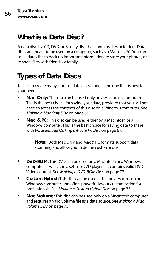### <span id="page-61-0"></span>**What is a Data Disc?**

A data disc is a CD, DVD, or Blu-ray disc that contains files or folders. Data discs are meant to be used on a computer, such as a Mac or a PC. You can use a data disc to back up important information, to store your photos, or to share files with friends or family.

# <span id="page-61-1"></span>**Types of Data Discs**

Toast can create many kinds of data discs, choose the one that is best for your needs.

- **Mac Only:** This disc can be used only on a Macintosh computer. This is the best choice for saving your data, provided that you will not need to access the contents of this disc on a Windows computer. See [Making a Mac Only Disc](#page-66-0) on page 61.
- **Mac & PC:** This disc can be used either on a Macintosh or a Windows computer. This is the best choice for saving data to share with PC users. See [Making a Mac & PC Disc](#page-72-0) on page 67.

**Note:** Both Mac Only and Mac & PC formats support data spanning and allow you to define custom icons.

- **DVD-ROM:** This DVD can be used on a Macintosh or a Windows computer as well as in a set-top DVD player if it contains valid DVD-Video content. See [Making a DVD-ROM Disc](#page-77-0) on page 72.
- **Custom Hybrid:** This disc can be used either on a Macintosh or a Windows computer, and offers powerful layout customization for professionals. See [Making a Custom Hybrid Disc](#page-78-1) on page 73.
- **Mac Volume:** This disc can be used only on a Macintosh computer and requires a valid volume file as a data source. See [Making a Mac](#page-80-1)  [Volume Disc](#page-80-1) on page 75.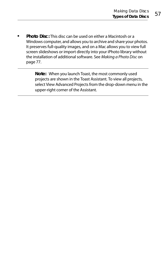**Photo Disc:** This disc can be used on either a Macintosh or a Windows computer, and allows you to archive and share your photos. It preserves full-quality images, and on a Mac allows you to view full screen slideshows or import directly into your iPhoto library without the installation of additional software. See [Making a Photo Disc](#page-82-0) on [page 77.](#page-82-0)

> **Note:** When you launch Toast, the most commonly used projects are shown in the Toast Assistant. To view all projects, select View Advanced Projects from the drop-down menu in the upper-right corner of the Assistant.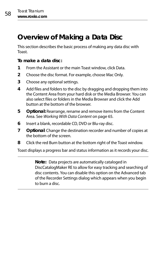### <span id="page-63-0"></span>**Overview of Making a Data Disc**

This section describes the basic process of making any data disc with Toast.

#### **To make a data disc:**

- **1** From the Assistant or the main Toast window, click Data.
- **2** Choose the disc format. For example, choose Mac Only.
- **3** Choose any optional settings.
- **4** Add files and folders to the disc by dragging and dropping them into the Content Area from your hard disk or the Media Browser. You can also select files or folders in the Media Browser and click the Add button at the bottom of the browser.
- **5 Optional:** Rearrange, rename and remove items from the Content Area. See [Working With Data Content](#page-70-0) on page 65.
- **6** Insert a blank, recordable CD, DVD or Blu-ray disc.
- **7 Optional**: Change the destination recorder and number of copies at the bottom of the screen.
- **8** Click the red Burn button at the bottom right of the Toast window.

Toast displays a progress bar and status information as it records your disc.

**Note:** Data projects are automatically cataloged in DiscCatalogMaker RE to allow for easy tracking and searching of disc contents. You can disable this option on the Advanced tab of the Recorder Settings dialog which appears when you begin to burn a disc.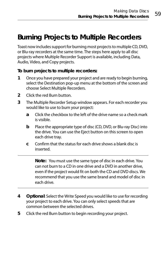### <span id="page-64-0"></span>**Burning Projects to Multiple Recorders**

Toast now includes support for burning most projects to multiple CD, DVD, or Blu-ray recorders at the same time. The steps here apply to all disc projects where Multiple Recorder Support is available, including Data, Audio, Video, and Copy projects.

**To burn projects to multiple recorders:**

- **1** Once you have prepared your project and are ready to begin burning, select the Destination pop-up menu at the bottom of the screen and choose Select Multiple Recorders.
- **2** Click the red Burn button.
- **3** The Multiple Recorder Setup window appears. For each recorder you would like to use to burn your project:
	- **a** Click the checkbox to the left of the drive name so a check mark is visible.
	- **b** Place the appropriate type of disc (CD, DVD, or Blu-ray Disc) into the drive. You can use the Eject button on this screen to open each drive tray.
	- **c** Confirm that the status for each drive shows a blank disc is inserted.

**Note:** You must use the same type of disc in each drive. You can not burn to a CD in one drive and a DVD in another drive, even if the project would fit on both the CD and DVD discs. We recommend that you use the same brand and model of disc in each drive.

- **4 Optional**: Select the Write Speed you would like to use for recording your project to each drive. You can only select speeds that are common between the selected drives.
- **5** Click the red Burn button to begin recording your project.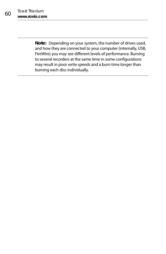**Note:** Depending on your system, the number of drives used, and how they are connected to your computer (internally, USB, FireWire) you may see different levels of performance. Burning to several recorders at the same time in some configurations may result in poor write speeds and a burn time longer than burning each disc individually.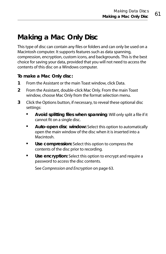## <span id="page-66-0"></span>**Making a Mac Only Disc**

This type of disc can contain any files or folders and can only be used on a Macintosh computer. It supports features such as data spanning, compression, encryption, custom icons, and backgrounds. This is the best choice for saving your data, provided that you will not need to access the contents of this disc on a Windows computer.

#### **To make a Mac Only disc:**

- **1** From the Assistant or the main Toast window, click Data.
- **2** From the Assistant, double-click Mac Only. From the main Toast window, choose Mac Only from the format selection menu.
- **3** Click the Options button, if necessary, to reveal these optional disc settings:
	- **Avoid splitting files when spanning**: Will only split a file if it cannot fit on a single disc.
	- **Auto-open disc window:** Select this option to automatically open the main window of the disc when it is inserted into a **Macintosh**
	- **Use compression:** Select this option to compress the contents of the disc prior to recording.
	- **Use encryption:** Select this option to encrypt and require a password to access the disc contents.

See [Compression and Encryption](#page-68-0) on page 63.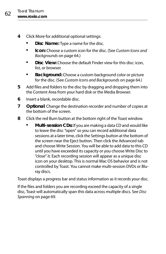- **4** Click More for additional optional settings:
	- **Disc Name:** Type a name for the disc.
	- **Icon:** Choose a custom icon for the disc. (See [Custom Icons and](#page-69-0)  [Backgrounds](#page-69-0) on page 64.)
	- **Disc View:** Choose the default Finder view for this disc: icon, list, or browser.
	- **Background:** Choose a custom background color or picture for the disc. (See [Custom Icons and Backgrounds](#page-69-0) on page 64.)
- **5** Add files and folders to the disc by dragging and dropping them into the Content Area from your hard disk or the Media Browser.
- **6** Insert a blank, recordable disc.
- **7 Optional**: Change the destination recorder and number of copies at the bottom of the screen.
- **8** Click the red Burn button at the bottom right of the Toast window.
	- **Multi-session CDs:** If you are making a data CD and would like to leave the disc "open" so you can record additional data sessions at a later time, click the Settings button at the bottom of the screen near the Eject button. Then click the Advanced tab and choose Write Session. You will be able to add data to this CD until you have exceeded its capacity or you choose Write Disc to "close" it. Each recording session will appear as a unique disc icon on your desktop. This is normal Mac OS behavior and is not controlled by Toast. You cannot make multi-session DVDs or Bluray discs.

Toast displays a progress bar and status information as it records your disc.

If the files and folders you are recording exceed the capacity of a single disc, Toast will automatically span this data across multiple discs. See [Disc](#page-74-0)  Spanning [on page 69.](#page-74-0)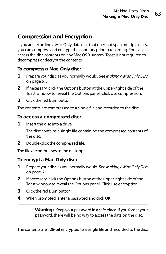### <span id="page-68-0"></span>**Compression and Encryption**

If you are recording a Mac Only data disc that does not span multiple discs, you can compress and encrypt the contents prior to recording. You can access the disc contents on any Mac OS X system. Toast is not required to decompress or decrypt the contents.

#### **To compress a Mac Only disc:**

- **1** Prepare your disc as you normally would. See [Making a Mac Only Disc](#page-66-0) [on page 61](#page-66-0).
- **2** If necessary, click the Options button at the upper-right side of the Toast window to reveal the Options panel. Click Use compression.
- **3** Click the red Burn button.

The contents are compressed to a single file and recorded to the disc.

#### **To access a compressed disc:**

**1** Insert the disc into a drive.

The disc contains a single file containing the compressed contents of the disc.

**2** Double-click the compressed file.

The file decompresses to the desktop.

#### **To encrypt a Mac Only disc:**

- **1** Prepare your disc as you normally would. See [Making a Mac Only Disc](#page-66-0) [on page 61](#page-66-0).
- **2** If necessary, click the Options button at the upper-right side of the Toast window to reveal the Options panel. Click Use encryption.
- **3** Click the red Burn button.
- **4** When prompted, enter a password and click OK.

**Warning:** Keep your password in a safe place. If you forget your password, there will be no way to access the data on the disc.

The contents are 128-bit encrypted to a single file and recorded to the disc.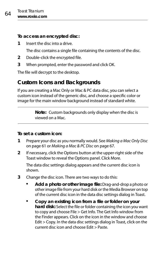**To access an encrypted disc:**

**1** Insert the disc into a drive.

The disc contains a single file containing the contents of the disc.

- **2** Double-click the encrypted file.
- **3** When prompted, enter the password and click OK.

The file will decrypt to the desktop.

### <span id="page-69-0"></span>**Custom Icons and Backgrounds**

If you are creating a Mac Only or Mac & PC data disc, you can select a custom icon instead of the generic disc, and choose a specific color or image for the main window background instead of standard white.

> **Note:** Custom backgrounds only display when the disc is viewed on a Mac.

#### **To set a custom icon:**

- **1** Prepare your disc as you normally would. See [Making a Mac Only Disc](#page-66-0) [on page 61](#page-66-0) or [Making a Mac & PC Disc](#page-72-0) on page 67.
- **2** If necessary, click the Options button at the upper-right side of the Toast window to reveal the Options panel. Click More.

The data disc settings dialog appears and the current disc icon is shown.

- **3** Change the disc icon. There are two ways to do this:
	- **Add a photo or other image file:** Drag-and-drop a photo or other image file from your hard disk or the Media Browser on top of the current disc icon in the data disc settings dialog in Toast.
	- **Copy an existing icon from a file or folder on your hard disk:** Select the file or folder containing the icon you want to copy and choose File > Get Info. The Get Info window from the Finder appears. Click on the icon in the window and choose Edit > Copy. In the data disc settings dialog in Toast, click on the current disc icon and choose Edit > Paste.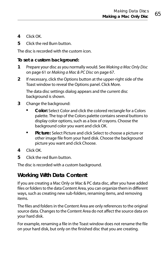- **4** Click OK.
- **5** Click the red Burn button.

The disc is recorded with the custom icon.

#### **To set a custom background:**

- **1** Prepare your disc as you normally would. See [Making a Mac Only Disc](#page-66-0) [on page 61](#page-66-0) or [Making a Mac & PC Disc](#page-72-0) on page 67.
- **2** If necessary, click the Options button at the upper-right side of the Toast window to reveal the Options panel. Click More.

The data disc settings dialog appears and the current disc background is shown.

- **3** Change the background:
	- **Color:** Select Color and click the colored rectangle for a Colors palette. The top of the Colors palette contains several buttons to display color options, such as a box of crayons. Choose the background color you want and click OK.
	- **Picture:** Select Picture and click Select to choose a picture or other image file from your hard disk. Choose the background picture you want and click Choose.
- **4** Click OK.
- **5** Click the red Burn button.

The disc is recorded with a custom background.

### <span id="page-70-0"></span>**Working With Data Content**

If you are creating a Mac Only or Mac & PC data disc, after you have added files or folders to the data Content Area, you can organize them in different ways, such as creating new sub-folders, renaming items, and removing items.

The files and folders in the Content Area are only references to the original source data. Changes to the Content Area do not affect the source data on your hard disk.

For example, renaming a file in the Toast window does not rename the file on your hard disk, but only on the finished disc that you are creating.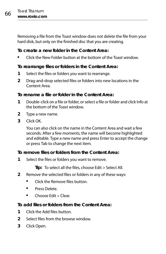Removing a file from the Toast window does not delete the file from your hard disk, but only on the finished disc that you are creating.

#### **To create a new folder in the Content Area:**

Click the New Folder button at the bottom of the Toast window.

#### **To rearrange files or folders in the Content Area:**

- **1** Select the files or folders you want to rearrange.
- **2** Drag-and-drop selected files or folders into new locations in the Content Area.

#### **To rename a file or folder in the Content Area:**

- **1** Double-click on a file or folder, or select a file or folder and click Info at the bottom of the Toast window.
- **2** Type a new name.
- **3** Click OK.

You can also click on the name in the Content Area and wait a few seconds. After a few moments, the name will become highlighted and editable. Type a new name and press Enter to accept the change or press Tab to change the next item.

#### **To remove files or folders from the Content Area:**

**1** Select the files or folders you want to remove.

**Tip:** To select all the files, choose Edit > Select All.

- **2** Remove the selected files or folders in any of these ways:
	- Click the Remove files button.
	- **Press Delete**
	- Choose Edit > Clear

#### **To add files or folders from the Content Area:**

- **1** Click the Add files button.
- **2** Select files from the browse window.
- **3** Click Open.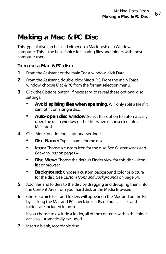### <span id="page-72-0"></span>**Making a Mac & PC Disc**

This type of disc can be used either on a Macintosh or a Windows computer. This is the best choice for sharing files and folders with most computer users.

#### **To make a Mac & PC disc:**

- **1** From the Assistant or the main Toast window, click Data.
- **2** From the Assistant, double-click Mac & PC. From the main Toast window, choose Mac & PC from the format selection menu.
- **3** Click the Options button, if necessary, to reveal these optional disc settings:
	- **Avoid splitting files when spanning**: Will only split a file if it cannot fit on a single disc.
	- **Auto-open disc window:** Select this option to automatically open the main window of the disc when it is inserted into a **Macintosh**
- **4** Click More for additional optional settings:
	- **Disc Name:** Type a name for the disc.
	- **Icon:** Choose a custom icon for the disc. See [Custom Icons and](#page-69-0)  [Backgrounds](#page-69-0) on page 64.
	- **Disc View:** Choose the default Finder view for this disc—icon, list or browser.
	- **Background:** Choose a custom background color or picture for the disc. See [Custom Icons and Backgrounds](#page-69-0) on page 64.
- **5** Add files and folders to the disc by dragging and dropping them into the Content Area from your hard disk or the Media Browser.
- **6** Choose which files and folders will appear on the Mac and on the PC by clicking the Mac and PC check boxes. By default, all files and folders are included in both.

If you choose to exclude a folder, all of the contents within the folder are also automatically excluded.

**7** Insert a blank, recordable disc.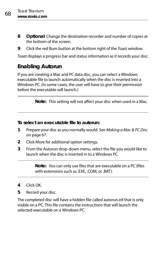- **8 Optional**: Change the destination recorder and number of copies at the bottom of the screen.
- **9** Click the red Burn button at the bottom right of the Toast window.

Toast displays a progress bar and status information as it records your disc.

### **Enabling Autorun**

If you are creating a Mac and PC data disc, you can select a Windows executable file to launch automatically when the disc is inserted into a Windows PC. (In some cases, the user will have to give their permission before the executable will launch.)

**Note:** This setting will not affect your disc when used in a Mac.

**To select an executable file to autorun:**

- **1** Prepare your disc as you normally would. See [Making a Mac & PC Disc](#page-72-0) [on page 67](#page-72-0).
- **2** Click More for additional option settings.
- **3** From the Autorun drop-down menu, select the file you would like to launch when the disc is inserted in to a Windows PC.

**Note:** You can only use files that are executable on a PC (files with extensions such as .EXE, .COM, or .BAT).

- **4** Click OK.
- **5** Record your disc.

The completed disc will have a hidden file called autorun.inf that is only visible on a PC. This file contains the instructions that will launch the selected executable on a Windows PC.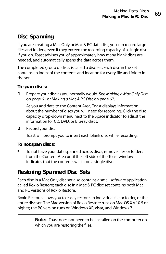### **Disc Spanning**

If you are creating a Mac Only or Mac & PC data disc, you can record large files and folders, even if they exceed the recording capacity of a single disc. If you do, Toast advises you of approximately how many blank discs are needed, and automatically spans the data across them.

The completed group of discs is called a disc set. Each disc in the set contains an index of the contents and location for every file and folder in the set.

#### **To span discs:**

**1** Prepare your disc as you normally would. See [Making a Mac Only Disc](#page-66-0) [on page 61](#page-66-0) or [Making a Mac & PC Disc](#page-72-0) on page 67.

As you add data to the Content Area, Toast displays information about the number of discs you will need for recording. Click the disc capacity drop-down menu next to the Space indicator to adjust the information for CD, DVD, or Blu-ray discs.

**2** Record your disc.

Toast will prompt you to insert each blank disc while recording.

#### **To not span discs:**

 To not have your data spanned across discs, remove files or folders from the Content Area until the left side of the Toast window indicates that the contents will fit on a single disc.

### **Restoring Spanned Disc Sets**

Each disc in a Mac Only disc set also contains a small software application called Roxio Restore; each disc in a Mac & PC disc set contains both Mac and PC versions of Roxio Restore.

Roxio Restore allows you to easily restore an individual file or folder, or the entire disc set. The Mac version of Roxio Restore runs on Mac OS X v 10.5 or higher; the PC version runs on Windows XP, Vista, and Windows 7.

> **Note:** Toast does not need to be installed on the computer on which you are restoring the files.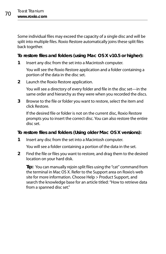Some individual files may exceed the capacity of a single disc and will be split into multiple files. Roxio Restore automatically joins these split files back together.

#### **To restore files and folders (using Mac OS X v10.5 or higher):**

**1** Insert any disc from the set into a Macintosh computer.

You will see the Roxio Restore application and a folder containing a portion of the data in the disc set.

**2** Launch the Roxio Restore application.

You will see a directory of every folder and file in the disc set—in the same order and hierarchy as they were when you recorded the discs.

**3** Browse to the file or folder you want to restore, select the item and click Restore.

If the desired file or folder is not on the current disc, Roxio Restore prompts you to insert the correct disc. You can also restore the entire disc set.

#### **To restore files and folders (Using older Mac OS X versions):**

**1** Insert any disc from the set into a Macintosh computer.

You will see a folder containing a portion of the data in the set.

**2** Find the file or files you want to restore, and drag them to the desired location on your hard disk.

**Tip:** You can manually rejoin split files using the "cat" command from the terminal in Mac OS X. Refer to the Support area on Roxio's web site for more information. Choose Help > Product Support, and search the knowledge base for an article titled: "How to retrieve data from a spanned disc set."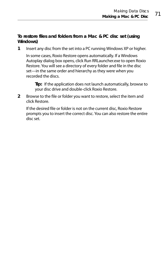#### **To restore files and folders from a Mac & PC disc set (using Windows)**

**1** Insert any disc from the set into a PC running Windows XP or higher.

In some cases, Roxio Restore opens automatically. If a Windows Autoplay dialog box opens, click Run RRLauncher.exe to open Roxio Restore. You will see a directory of every folder and file in the disc set—in the same order and hierarchy as they were when you recorded the discs.

**Tip:** If the application does not launch automatically, browse to your disc drive and double-click Roxio Restore.

**2** Browse to the file or folder you want to restore, select the item and click Restore.

If the desired file or folder is not on the current disc, Roxio Restore prompts you to insert the correct disc. You can also restore the entire disc set.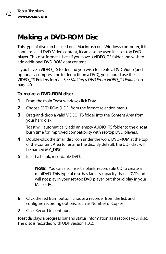# **Making a DVD-ROM Disc**

This type of disc can be used on a Macintosh or a Windows computer; if it contains valid DVD-Video content, it can also be used in a set-top DVD player. This disc format is best if you have a VIDEO\_TS folder and wish to add additional DVD-ROM data content.

If you have a VIDEO\_TS folder and you wish to create a DVD-Video (and optionally compress the folder to fit on a DVD), you should use the VIDEO\_TS Folders format. See [Making a DVD From VIDEO\\_TS Folders](#page-45-0) on [page 40.](#page-45-0)

#### **To make a DVD-ROM disc:**

- **1** From the main Toast window, click Data.
- **2** Choose DVD-ROM (UDF) from the format selection menu.
- **3** Drag-and-drop a valid VIDEO\_TS folder into the Content Area from your hard disk.

Toast will automatically add an empty AUDIO\_TS folder to the disc at burn time for improved compatibility with set-top DVD players.

- **4** Double-click the small disc icon under the word DVD-ROM at the top of the Content Area to rename the disc. By default, the UDF disc will be named MY\_DISC.
- **5** Insert a blank, recordable DVD.

**Note:** You can also insert a blank, recordable CD to create a miniDVD. This type of disc has far less capacity than a DVD and will not play in your set-top DVD player, but should play in your Mac or PC

- **6** Click the red Burn button, choose a recorder from the list, and configure recording options, such as Number of Copies.
- **7** Click Record to continue.

Toast displays a progress bar and status information as it records your disc. The disc is recorded with UDF version 1.0.2.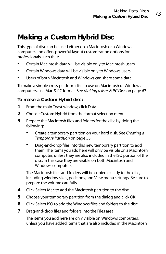# **Making a Custom Hybrid Disc**

This type of disc can be used either on a Macintosh or a Windows computer, and offers powerful layout customization options for professionals such that:

- **E** Certain Macintosh data will be visible only to Macintosh users.
- Certain Windows data will be visible only to Windows users.
- Users of both Macintosh and Windows can share some data.

To make a simple cross-platform disc to use on Macintosh or Windows computers, use Mac & PC format. See [Making a Mac & PC Disc](#page-72-0) on page 67.

#### **To make a Custom Hybrid disc:**

- **1** From the main Toast window, click Data.
- **2** Choose Custom Hybrid from the format selection menu.
- **3** Prepare the Macintosh files and folders for the disc by doing the following:
	- Create a temporary partition on your hard disk. See [Creating a](#page-58-0)  [Temporary Partition](#page-58-0) on page 53.
	- **•** Drag-and-drop files into this new temporary partition to add them. The items you add here will only be visible on a Macintosh computer, unless they are also included in the ISO portion of the disc. In this case they are visible on both Macintosh and Windows computers.

The Macintosh files and folders will be copied exactly to the disc, including window sizes, positions, and View menu settings. Be sure to prepare the volume carefully.

- **4** Click Select Mac to add the Macintosh partition to the disc.
- **5** Choose your temporary partition from the dialog and click OK.
- **6** Click Select ISO to add the Windows files and folders to the disc.
- **7** Drag-and-drop files and folders into the Files area.

The items you add here are only visible on Windows computers, unless you have added items that are also included in the Macintosh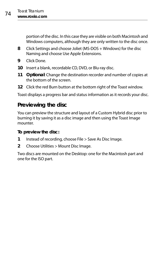portion of the disc. In this case they are visible on both Macintosh and Windows computers, although they are only written to the disc once.

- **8** Click Settings and choose Joliet (MS-DOS + Windows) for the disc Naming and choose Use Apple Extensions.
- **9** Click Done.
- **10** Insert a blank, recordable CD, DVD, or Blu-ray disc.
- **11 Optional**: Change the destination recorder and number of copies at the bottom of the screen.
- **12** Click the red Burn button at the bottom right of the Toast window.

Toast displays a progress bar and status information as it records your disc.

### **Previewing the disc**

You can preview the structure and layout of a Custom Hybrid disc prior to burning it by saving it as a disc image and then using the Toast Image mounter.

#### **To preview the disc:**

- **1** Instead of recording, choose File > Save As Disc Image.
- **2** Choose Utilities > Mount Disc Image.

Two discs are mounted on the Desktop: one for the Macintosh part and one for the ISO part.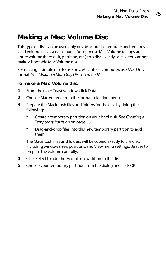### **Making a Mac Volume Disc**

This type of disc can be used only on a Macintosh computer and requires a valid volume file as a data source. You can use Mac Volume to copy an entire volume (hard disk, partition, etc.) to a disc exactly as it is. You cannot make a bootable Mac Volume disc.

For making a simple disc to use on a Macintosh computer, use Mac Only format. See [Making a Mac Only Disc](#page-66-0) on page 61.

#### **To make a Mac Volume disc:**

- **1** From the main Toast window, click Data.
- **2** Choose Mac Volume from the format selection menu.
- **3** Prepare the Macintosh files and folders for the disc by doing the following:
	- Create a temporary partition on your hard disk. See [Creating a](#page-58-0)  [Temporary Partition](#page-58-0) on page 53.
	- **•** Drag-and-drop files into this new temporary partition to add them.

The Macintosh files and folders will be copied exactly to the disc, including window sizes, positions, and View menu settings. Be sure to prepare the volume carefully.

- **4** Click Select to add the Macintosh partition to the disc.
- **5** Choose your temporary partition from the dialog and click OK.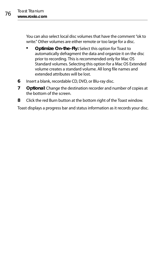You can also select local disc volumes that have the comment "ok to write." Other volumes are either remote or too large for a disc.

- **Optimize On-the-Fly:** Select this option for Toast to automatically defragment the data and organize it on the disc prior to recording. This is recommended only for Mac OS Standard volumes. Selecting this option for a Mac OS Extended volume creates a standard volume. All long file names and extended attributes will be lost.
- **6** Insert a blank, recordable CD, DVD, or Blu-ray disc.
- **7 Optional**: Change the destination recorder and number of copies at the bottom of the screen.
- **8** Click the red Burn button at the bottom right of the Toast window.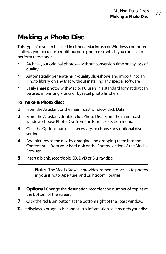# **Making a Photo Disc**

This type of disc can be used in either a Macintosh or Windows computer. It allows you to create a multi-purpose photo disc which you can use to perform these tasks:

- Archive your original photos—without conversion time or any loss of quality
- Automatically generate high-quality slideshows and import into an iPhoto library on any Mac without installing any special software
- **Easily share photos with Mac or PC users in a standard format that can** be used in printing kiosks or by retail photo finishers

#### **To make a Photo disc:**

- **1** From the Assistant or the main Toast window, click Data.
- **2** From the Assistant, double-click Photo Disc. From the main Toast window, choose Photo Disc from the format selection menu.
- **3** Click the Options button, if necessary, to choose any optional disc settings.
- **4** Add pictures to the disc by dragging and dropping them into the Content Area from your hard disk or the Photos section of the Media Browser.
- **5** Insert a blank, recordable CD, DVD or Blu-ray disc.

**Note:** The Media Browser provides immediate access to photos in your iPhoto, Aperture, and Lightroom libraries.

- **6 Optional**: Change the destination recorder and number of copies at the bottom of the screen.
- **7** Click the red Burn button at the bottom right of the Toast window.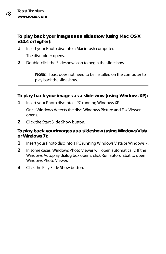**To play back your images as a slideshow (using Mac OS X v10.4 or higher):**

- **1** Insert your Photo disc into a Macintosh computer. The disc folder opens.
- **2** Double-click the Slideshow icon to begin the slideshow.

**Note:** Toast does not need to be installed on the computer to play back the slideshow.

#### **To play back your images as a slideshow (using Windows XP):**

**1** Insert your Photo disc into a PC running Windows XP.

Once Windows detects the disc, Windows Picture and Fax Viewer opens.

**2** Click the Start Slide Show button.

#### **To play back your images as a slideshow (using Windows Vista or Windows 7):**

- **1** Insert your Photo disc into a PC running Windows Vista or Windows 7.
- **2** In some cases, Windows Photo Viewer will open automatically. If the Windows Autoplay dialog box opens, click Run autorun.bat to open Windows Photo Viewer.
- **3** Click the Play Slide Show button.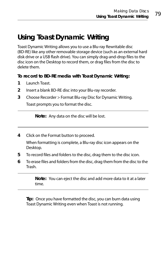# **Using Toast Dynamic Writing**

Toast Dynamic Writing allows you to use a Blu-ray Rewritable disc (BD-RE) like any other removable storage device (such as an external hard disk drive or a USB flash drive). You can simply drag-and-drop files to the disc icon on the Desktop to record them, or drag files from the disc to delete them.

**To record to BD-RE media with Toast Dynamic Writing:**

- **1** Launch Toast.
- **2** Insert a blank BD-RE disc into your Blu-ray recorder.
- **3** Choose Recorder > Format Blu-ray Disc for Dynamic Writing.

Toast prompts you to format the disc.

**Note:** Any data on the disc will be lost.

**4** Click on the Format button to proceed.

When formatting is complete, a Blu-ray disc icon appears on the Desktop.

- **5** To record files and folders to the disc, drag them to the disc icon.
- **6** To erase files and folders from the disc, drag them from the disc to the Trash.

**Note:** You can eject the disc and add more data to it at a later time.

**Tip:** Once you have formatted the disc, you can burn data using Toast Dynamic Writing even when Toast is not running.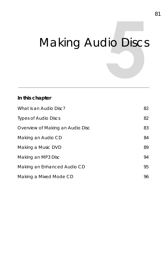# Making Audio Discs

#### **In this chapter**

| What is an Audio Disc?           | 82 |
|----------------------------------|----|
| <b>Types of Audio Discs</b>      | 82 |
| Overview of Making an Audio Disc | 83 |
| Making an Audio CD               | 84 |
| Making a Music DVD               | 89 |
| Making an MP3 Disc               | 94 |
| Making an Enhanced Audio CD      | 95 |
| Making a Mixed Mode CD           | 96 |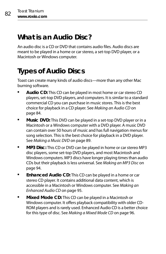### <span id="page-87-0"></span>**What is an Audio Disc?**

An audio disc is a CD or DVD that contains audio files. Audio discs are meant to be played in a home or car stereo, a set-top DVD player, or a Macintosh or Windows computer.

# <span id="page-87-1"></span>**Types of Audio Discs**

Toast can create many kinds of audio discs—more than any other Mac burning software.

- **Audio CD:** This CD can be played in most home or car stereo CD players, set-top DVD players, and computers. It is similar to a standard commercial CD you can purchase in music stores. This is the best choice for playback in a CD player. See [Making an Audio CD](#page-89-0) on [page 84.](#page-89-0)
- **Music DVD:** This DVD can be played in a set-top DVD player or in a Macintosh or a Windows computer with a DVD player. A music DVD can contain over 50 hours of music and has full navigation menus for song selection. This is the best choice for playback in a DVD player. See [Making a Music DVD](#page-94-0) on page 89.
- **MP3 Disc:** This CD or DVD can be played in home or car stereo MP3 disc players, some set-top DVD players, and most Macintosh and Windows computers. MP3 discs have longer playing times than audio CDs but their playback is less universal. See [Making an MP3 Disc](#page-99-0) on [page 94.](#page-99-0)
- **Enhanced Audio CD:** This CD can be played in a home or car stereo CD player. It contains additional data content, which is accessible in a Macintosh or Windows computer. See [Making an](#page-100-0)  [Enhanced Audio CD](#page-100-0) on page 95.
- **Mixed Mode CD:** This CD can be played in a Macintosh or Windows computer. It offers playback compatibility with older CD-ROM players and is rarely used. Enhanced Audio CD is a better choice for this type of disc. See [Making a Mixed Mode CD](#page-101-0) on page 96.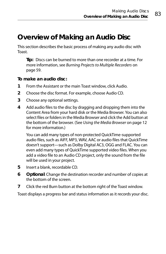### <span id="page-88-0"></span>**Overview of Making an Audio Disc**

This section describes the basic process of making any audio disc with Toast.

**Tip:** Discs can be burned to more than one recorder at a time. For more information, see [Burning Projects to Multiple Recorders](#page-64-0) on [page 59.](#page-64-0)

**To make an audio disc:**

- **1** From the Assistant or the main Toast window, click Audio.
- **2** Choose the disc format. For example, choose Audio CD.
- **3** Choose any optional settings.
- **4** Add audio files to the disc by dragging and dropping them into the Content Area from your hard disk or the Media Browser. You can also select files or folders in the Media Browser and click the Add button at the bottom of the browser. (See [Using the Media Browser](#page-17-0) on page 12 for more information.)

You can add many types of non-protected QuickTime-supported audio files, such as AIFF, MP3, WAV, AAC or audio files that QuickTime doesn't support—such as Dolby Digital AC3, OGG and FLAC. You can even add many types of QuickTime supported video files. When you add a video file to an Audio CD project, only the sound from the file will be used in your project.

- **5** Insert a blank, recordable CD.
- **6 Optional**: Change the destination recorder and number of copies at the bottom of the screen.
- **7** Click the red Burn button at the bottom right of the Toast window.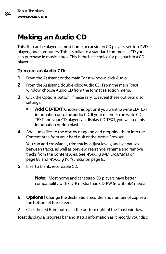# <span id="page-89-0"></span>**Making an Audio CD**

This disc can be played in most home or car stereo CD players, set-top DVD players, and computers. This is similar to a standard commercial CD you can purchase in music stores. This is the best choice for playback in a CD player.

**To make an Audio CD:**

- **1** From the Assistant or the main Toast window, click Audio.
- **2** From the Assistant, double-click Audio CD. From the main Toast window, choose Audio CD from the format selection menu.
- **3** Click the Options button, if necessary, to reveal these optional disc settings:
	- **Add CD-TEXT:** Choose this option if you want to write CD-TEXT information onto the audio CD. If your recorder can write CD-TEXT and your CD player can display CD-TEXT, you will see this information during playback.
- **4** Add audio files to the disc by dragging and dropping them into the Content Area from your hard disk or the Media Browser.

You can add crossfades, trim tracks, adjust levels, and set pauses between tracks, as well as preview, rearrange, rename and remove tracks from the Content Area. See [Working with Crossfades](#page-93-0) on [page 88](#page-93-0) and [Working With Tracks](#page-90-0) on page 85.

**5** Insert a blank, recordable CD.

**Note:** Most home and car stereo CD players have better compatibility with CD-R media than CD-RW (rewritable) media.

- **6 Optional**: Change the destination recorder and number of copies at the bottom of the screen.
- **7** Click the red Burn button at the bottom right of the Toast window.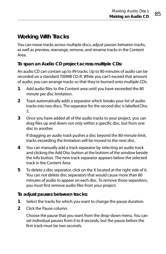### <span id="page-90-0"></span>**Working With Tracks**

You can move tracks across multiple discs, adjust pauses between tracks, as well as preview, rearrange, remove, and rename tracks in the Content Area.

#### **To span an Audio CD project across multiple CDs:**

An audio CD can contain up to 99 tracks. Up to 80 minutes of audio can be recorded on a standard 700MB CD-R. While you can't exceed that amount of audio, you can arrange tracks so that they're burned onto multiple CDs.

- **1** Add audio files to the Content area until you have exceeded the 80 minute per disc limitation.
- **2** Toast automatically adds a separator which breaks your list of audio tracks into two discs. The separator for the second disc is labelled Disc 2.
- **3** Once you have added all of the audio tracks to your project, you can drag files up and down not only within a specific disc, but from one disc to another.

If dragging an audio track pushes a disc beyond the 80-minute limit, tracks exceeding the limitation will be moved to the next disc.

- **4** You can manually add a track separator by selecting an audio track and clicking the Add Disc button at the bottom of the window beside the Info button. The new track separator appears below the selected track in the Content Area.
- **5** To delete a disc separator, click on the X located at the right side of it. You can not delete disc separators that would cause more than 80 minutes of audio to appear on each disc. To remove those separators, you must first remove audio files from your project.

#### **To adjust pauses between tracks:**

- **1** Select the tracks for which you want to change the pause duration.
- **2** Click the Pause column.

Choose the pause that you want from the drop-down menu. You can set individual pauses from 0 to 8 seconds, but the pause before the first track must be two seconds.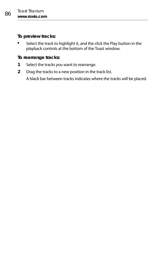**To preview tracks:**

 Select the track to highlight it, and the click the Play button in the playback controls at the bottom of the Toast window.

#### **To rearrange tracks:**

- **1** Select the tracks you want to rearrange.
- **2** Drag the tracks to a new position in the track list.

A black bar between tracks indicates where the tracks will be placed.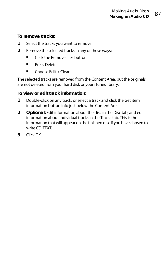**To remove tracks:**

- **1** Select the tracks you want to remove.
- **2** Remove the selected tracks in any of these ways:
	- **E** Click the Remove files button.
	- **Press Delete**
	- Choose Edit > Clear.

The selected tracks are removed from the Content Area, but the originals are not deleted from your hard disk or your iTunes library.

#### **To view or edit track information:**

- **1** Double-click on any track, or select a track and click the Get item information button Info just below the Content Area.
- **2 Optional:** Edit information about the disc in the Disc tab, and edit information about individual tracks in the Tracks tab. This is the information that will appear on the finished disc if you have chosen to write CD-TEXT.
- **3** Click OK.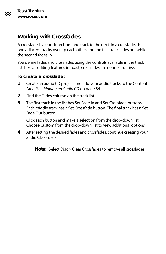### <span id="page-93-0"></span>**Working with Crossfades**

A crossfade is a transition from one track to the next. In a crossfade, the two adjacent tracks overlap each other, and the first track fades out while the second fades in.

You define fades and crossfades using the controls available in the track list. Like all editing features in Toast, crossfades are nondestructive.

**To create a crossfade:**

- **1** Create an audio CD project and add your audio tracks to the Content Area. See [Making an Audio CD](#page-89-0) on page 84.
- **2** Find the Fades column on the track list.
- **3** The first track in the list has Set Fade In and Set Crossfade buttons. Each middle track has a Set Crossfade button. The final track has a Set Fade Out button.

Click each button and make a selection from the drop-down list. Choose Custom from the drop-down list to view additional options.

**4** After setting the desired fades and crossfades, continue creating your audio CD as usual.

**Note:** Select Disc > Clear Crossfades to remove all crossfades.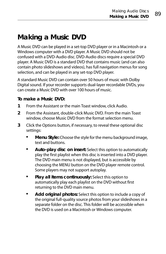# <span id="page-94-0"></span>**Making a Music DVD**

A Music DVD can be played in a set-top DVD player or in a Macintosh or a Windows computer with a DVD player. A Music DVD should not be confused with a DVD-Audio disc. DVD-Audio discs require a special DVD player. A Music DVD is a standard DVD that contains music (and can also contain photo slideshows and videos), has full navigation menus for song selection, and can be played in any set-top DVD player.

A standard Music DVD can contain over 50 hours of music with Dolby Digital sound. If your recorder supports dual-layer recordable DVDs, you can create a Music DVD with over 100 hours of music.

#### **To make a Music DVD:**

- **1** From the Assistant or the main Toast window, click Audio.
- **2** From the Assistant, double-click Music DVD. From the main Toast window, choose Music DVD from the format selection menu.
- **3** Click the Options button, if necessary, to reveal these optional disc settings:
	- **Menu Style:** Choose the style for the menu background image, text and buttons.
	- **Auto-play disc on insert:** Select this option to automatically play the first playlist when this disc is inserted into a DVD player. The DVD main menu is not displayed, but is accessible by choosing the MENU button on the DVD player remote control. Some players may not support autoplay.
	- **Play all items continuously:** Select this option to automatically play each playlist on the DVD without first returning to the DVD main menu.
	- **Add original photos:** Select this option to include a copy of the original full-quality source photos from your slideshows in a separate folder on the disc. This folder will be accessible when the DVD is used on a Macintosh or Windows computer.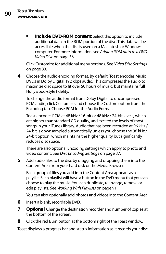**Include DVD-ROM content:** Select this option to include additional data in the ROM portion of the disc. This data will be accessible when the disc is used on a Macintosh or Windows computer. For more information, see [Adding ROM data to a DVD-](#page-41-0)Video Disc [on page 36.](#page-41-0)

Click Customize for additional menu settings. See [Video Disc Settings](#page-38-0) [on page 33](#page-38-0).

**4** Choose the audio encoding format. By default, Toast encodes Music DVDs in Dolby Digital 192 kbps audio. This compresses the audio to maximize disc space to fit over 50 hours of music, but maintains full Hollywood-style fidelity.

To change the audio format from Dolby Digital to uncompressed PCM audio, click Customize and choose the Custom option from the Encoding tab. Choose PCM for the Audio Format.

Toast encodes PCM at 48 kHz / 16-bit or 48 kHz / 24-bit levels, which are higher than standard CD quality, and exceed the levels of most songs in your iTunes library. Audio that has been recorded at 96 kHz / 24-bit is downsampled automatically unless you choose the 96 kHz / 24-bit option, which maintains the higher quality but significantly reduces disc space.

There are also optional Encoding settings which apply to photo and video content. See [Disc Encoding Settings](#page-42-0) on page 37.

**5** Add audio files to the disc by dragging and dropping them into the Content Area from your hard disk or the Media Browser.

Each group of files you add into the Content Area appears as a playlist. Each playlist will have a button in the DVD menu that you can choose to play the music. You can duplicate, rearrange, remove or edit playlists. See [Working With Playlists](#page-96-0) on page 91.

You can also optionally add photos and videos into the Content Area.

- **6** Insert a blank, recordable DVD.
- **7 Optional**: Change the destination recorder and number of copies at the bottom of the screen.
- **8** Click the red Burn button at the bottom right of the Toast window.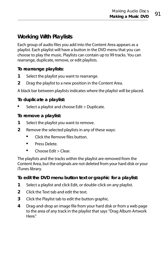### <span id="page-96-0"></span>**Working With Playlists**

Each group of audio files you add into the Content Area appears as a playlist. Each playlist will have a button in the DVD menu that you can choose to play the music. Playlists can contain up to 99 tracks. You can rearrange, duplicate, remove, or edit playlists.

#### **To rearrange playlists:**

- **1** Select the playlist you want to rearrange.
- **2** Drag the playlist to a new position in the Content Area.

A black bar between playlists indicates where the playlist will be placed.

#### **To duplicate a playlist:**

Select a playlist and choose Edit > Duplicate.

#### **To remove a playlist:**

- **1** Select the playlist you want to remove.
- **2** Remove the selected playlists in any of these ways:
	- Click the Remove files button.
	- **Press Delete.**
	- Choose Edit > Clear.

The playlists and the tracks within the playlist are removed from the Content Area, but the originals are not deleted from your hard disk or your iTunes library.

#### **To edit the DVD menu button text or graphic for a playlist:**

- **1** Select a playlist and click Edit, or double-click on any playlist.
- **2** Click the Text tab and edit the text.
- **3** Click the Playlist tab to edit the button graphic.
- **4** Drag-and-drop an image file from your hard disk or from a web page to the area of any track in the playlist that says "Drag Album Artwork Here."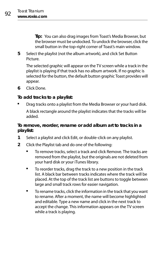**Tip:** You can also drag images from Toast's Media Browser, but the browser must be undocked. To undock the browser, click the small button in the top-right corner of Toast's main window.

**5** Select the playlist (not the album artwork), and click Set Button Picture.

The selected graphic will appear on the TV screen while a track in the playlist is playing if that track has no album artwork. If no graphic is selected for the button, the default button graphic Toast provides will appear.

**6** Click Done.

#### **To add tracks to a playlist:**

 Drag tracks onto a playlist from the Media Browser or your hard disk. A black rectangle around the playlist indicates that the tracks will be added.

#### **To remove, reorder, rename or add album art to tracks in a playlist:**

- **1** Select a playlist and click Edit, or double-click on any playlist.
- **2** Click the Playlist tab and do one of the following:
	- To remove tracks, select a track and click Remove. The tracks are removed from the playlist, but the originals are not deleted from your hard disk or your iTunes library.
	- To reorder tracks, drag the track to a new position in the track list. A black bar between tracks indicates where the track will be placed. At the top of the track list are buttons to toggle between large and small track rows for easier navigation.
	- To rename tracks, click the information in the track that you want to rename. After a moment, the name will become highlighted and editable. Type a new name and click in the next track to accept the change. This information appears on the TV screen while a track is playing.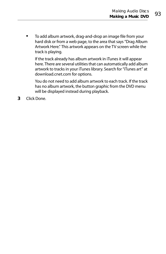To add album artwork, drag-and-drop an image file from your hard disk or from a web page, to the area that says "Drag Album Artwork Here." This artwork appears on the TV screen while the track is playing.

If the track already has album artwork in iTunes it will appear here. There are several utilities that can automatically add album artwork to tracks in your iTunes library. Search for "iTunes art" at [download.cnet.com](http://download.cnet.com) for options.

You do not need to add album artwork to each track. If the track has no album artwork, the button graphic from the DVD menu will be displayed instead during playback.

**3** Click Done.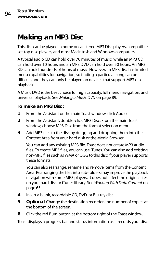# <span id="page-99-0"></span>**Making an MP3 Disc**

This disc can be played in home or car stereo MP3 Disc players, compatible set-top disc players, and most Macintosh and Windows computers.

A typical audio CD can hold over 70 minutes of music, while an MP3 CD can hold over 10 hours and an MP3 DVD can hold over 50 hours. An MP3 BD can hold hundreds of hours of music. However, an MP3 disc has limited menu capabilities for navigation, so finding a particular song can be difficult, and they can only be played on devices that support MP3 disc playback.

A Music DVD is the best choice for high capacity, full menu navigation, and universal playback. See [Making a Music DVD](#page-94-0) on page 89.

#### **To make an MP3 Disc:**

- **1** From the Assistant or the main Toast window, click Audio.
- **2** From the Assistant, double-click MP3 Disc. From the main Toast window, choose MP3 Disc from the format selection menu.
- **3** Add MP3 files to the disc by dragging and dropping them into the Content Area from your hard disk or the Media Browser.

You can add any existing MP3 file. Toast does not create MP3 audio files. To create MP3 files, you can use iTunes. You can also add existing non-MP3 files such as WMA or OGG to this disc if your player supports these formats.

You can also rearrange, rename and remove items from the Content Area. Rearranging the files into sub-folders may improve the playback navigation with some MP3 players. It does not affect the original files on your hard disk or iTunes library. See [Working With Data Content](#page-70-0) on [page 65.](#page-70-0)

- **4** Insert a blank, recordable CD, DVD, or Blu-ray disc.
- **5 Optional**: Change the destination recorder and number of copies at the bottom of the screen.
- **6** Click the red Burn button at the bottom right of the Toast window.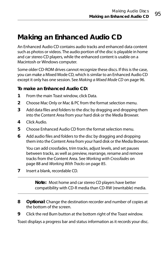### <span id="page-100-0"></span>**Making an Enhanced Audio CD**

An Enhanced Audio CD contains audio tracks and enhanced data content such as photos or videos. The audio portion of the disc is playable in home and car stereo CD players, while the enhanced content is usable on a Macintosh or Windows computer.

Some older CD-ROM drives cannot recognize these discs. If this is the case, you can make a Mixed Mode CD, which is similar to an Enhanced Audio CD except it only has one session. See [Making a Mixed Mode CD](#page-101-0) on page 96.

#### **To make an Enhanced Audio CD:**

- **1** From the main Toast window, click Data.
- **2** Choose Mac Only or Mac & PC from the format selection menu.
- **3** Add data files and folders to the disc by dragging and dropping them into the Content Area from your hard disk or the Media Browser.
- **4** Click Audio.
- **5** Choose Enhanced Audio CD from the format selection menu.
- **6** Add audio files and folders to the disc by dragging and dropping them into the Content Area from your hard disk or the Media Browser.

You can add crossfades, trim tracks, adjust levels, and set pauses between tracks, as well as preview, rearrange, rename and remove tracks from the Content Area. See [Working with Crossfades](#page-93-0) on [page 88](#page-93-0) and [Working With Tracks](#page-90-0) on page 85.

**7** Insert a blank, recordable CD.

**Note:** Most home and car stereo CD players have better compatibility with CD-R media than CD-RW (rewritable) media.

- **8 Optional**: Change the destination recorder and number of copies at the bottom of the screen.
- **9** Click the red Burn button at the bottom right of the Toast window.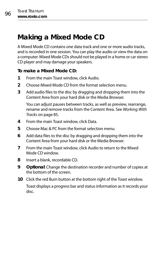### <span id="page-101-0"></span>**Making a Mixed Mode CD**

A Mixed Mode CD contains one data track and one or more audio tracks, and is recorded in one session. You can play the audio or view the data on a computer. Mixed Mode CDs should not be played in a home or car stereo CD player and may damage your speakers.

#### **To make a Mixed Mode CD:**

- **1** From the main Toast window, click Audio.
- **2** Choose Mixed Mode CD from the format selection menu.
- **3** Add audio files to the disc by dragging and dropping them into the Content Area from your hard disk or the Media Browser.

You can adjust pauses between tracks, as well as preview, rearrange, rename and remove tracks from the Content Area. See [Working With](#page-90-0)  Tracks [on page 85](#page-90-0).

- **4** From the main Toast window, click Data.
- **5** Choose Mac & PC from the format selection menu.
- **6** Add data files to the disc by dragging and dropping them into the Content Area from your hard disk or the Media Browser.
- **7** From the main Toast window, click Audio to return to the Mixed Mode CD window.
- **8** Insert a blank, recordable CD.
- **9 Optional**: Change the destination recorder and number of copies at the bottom of the screen.
- **10** Click the red Burn button at the bottom right of the Toast window.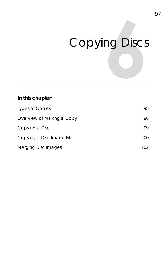# Copying Discs

#### **In this chapter**

| Types of Copies           | 98  |
|---------------------------|-----|
| Overview of Making a Copy | 98  |
| Copying a Disc            | 99  |
| Copying a Disc Image File | 100 |
| Merging Disc Images       | 102 |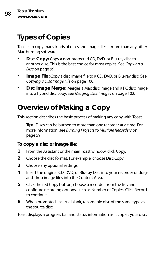# <span id="page-103-0"></span>**Types of Copies**

Toast can copy many kinds of discs and image files—more than any other Mac burning software.

- **Disc Copy:** Copy a non-protected CD, DVD, or Blu-ray disc to another disc. This is the best choice for most copies. See Copying a Disc [on page 99.](#page-104-0)
- **Image File:** Copy a disc image file to a CD, DVD, or Blu-ray disc. See [Copying a Disc Image File](#page-105-0) on page 100.
- **Disc Image Merge:** Merges a Mac disc image and a PC disc image into a hybrid disc copy. See [Merging Disc Images](#page-107-0) on page 102.

### <span id="page-103-1"></span>**Overview of Making a Copy**

This section describes the basic process of making any copy with Toast.

**Tip:** Discs can be burned to more than one recorder at a time. For more information, see [Burning Projects to Multiple Recorders](#page-64-0) on [page 59.](#page-64-0)

#### **To copy a disc or image file:**

- **1** From the Assistant or the main Toast window, click Copy.
- **2** Choose the disc format. For example, choose Disc Copy.
- **3** Choose any optional settings.
- **4** Insert the original CD, DVD, or Blu-ray Disc into your recorder or dragand-drop image files into the Content Area.
- **5** Click the red Copy button, choose a recorder from the list, and configure recording options, such as Number of Copies. Click Record to continue.
- **6** When prompted, insert a blank, recordable disc of the same type as the source disc.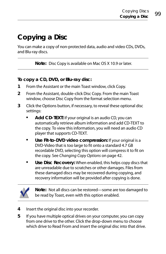### <span id="page-104-0"></span>**Copying a Disc**

You can make a copy of non-protected data, audio and video CDs, DVDs, and Blu-ray discs.

**Note:** Disc Copy is available on Mac OS X 10.9 or later.

**To copy a CD, DVD, or Blu-ray disc:**

- **1** From the Assistant or the main Toast window, click Copy.
- **2** From the Assistant, double-click Disc Copy. From the main Toast window, choose Disc Copy from the format selection menu.
- **3** Click the Options button, if necessary, to reveal these optional disc settings:
	- **Add CD-TEXT:** If your original is an audio CD, you can automatically retrieve album information and add CD-TEXT to the copy. To view this information, you will need an audio CD player that supports CD-TEXT.
	- **Use Fit-to-DVD video compression:** If your original is a DVD-Video that is too large to fit onto a standard 4.7 GB recordable DVD, selecting this option will compress it to fit on the copy. See [Changing Copy Options](#page-47-0) on page 42.
	- **Use Disc Recovery:** When enabled, this helps copy discs that are unreadable due to scratches or other damages. Files from these damaged discs may be recovered during copying, and recovery information will be provided after copying is done.



**Note:** Not all discs can be restored—some are too damaged to be read by Toast, even with this option enabled.

- **4** Insert the original disc into your recorder.
- **5** If you have multiple optical drives on your computer, you can copy from one drive to the other. Click the drop-down menu to choose which drive to Read From and insert the original disc into that drive.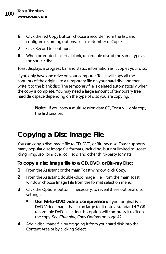- **6** Click the red Copy button, choose a recorder from the list, and configure recording options, such as Number of Copies.
- **7** Click Record to continue.
- **8** When prompted, insert a blank, recordable disc of the same type as the source disc.

Toast displays a progress bar and status information as it copies your disc.

If you only have one drive on your computer, Toast will copy all the contents of the original to a temporary file on your hard disk and then write it to the blank disc. The temporary file is deleted automatically when the copy is complete. You may need a large amount of temporary free hard disk space depending on the type of disc you are copying.

> **Note:** If you copy a multi-session data CD, Toast will only copy the first session.

# <span id="page-105-0"></span>**Copying a Disc Image File**

You can copy a disc image file to CD, DVD, or Blu-ray disc. Toast supports many popular disc image file formats, including, but not limited to: .toast, .dmg, .img, .iso, .bin/.cue, .cdr, .sd2, and other third-party formats.

**To copy a disc image file to a CD, DVD, or Blu-ray Disc:**

- **1** From the Assistant or the main Toast window, click Copy.
- **2** From the Assistant, double-click Image File. From the main Toast window, choose Image File from the format selection menu.
- **3** Click the Options button, if necessary, to reveal these optional disc settings:
	- **Use Fit-to-DVD video compression:** If your original is a DVD-Video image that is too large to fit onto a standard 4.7 GB recordable DVD, selecting this option will compress it to fit on the copy. See [Changing Copy Options](#page-47-0) on page 42.
- **4** Add a disc image file by dragging it from your hard disk into the Content Area or by clicking Select.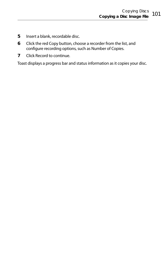- **5** Insert a blank, recordable disc.
- **6** Click the red Copy button, choose a recorder from the list, and configure recording options, such as Number of Copies.
- **7** Click Record to continue.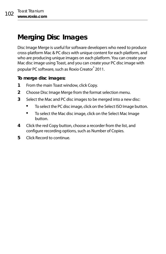### <span id="page-107-0"></span>**Merging Disc Images**

Disc Image Merge is useful for software developers who need to produce cross-platform Mac & PC discs with unique content for each platform, and who are producing unique images on each platform. You can create your Mac disc image using Toast, and you can create your PC disc image with popular PC software, such as Roxio Creator® 2011.

#### **To merge disc images:**

- **1** From the main Toast window, click Copy.
- **2** Choose Disc Image Merge from the format selection menu.
- **3** Select the Mac and PC disc images to be merged into a new disc:
	- To select the PC disc image, click on the Select ISO Image button.
	- To select the Mac disc image, click on the Select Mac Image button.
- **4** Click the red Copy button, choose a recorder from the list, and configure recording options, such as Number of Copies.
- **5** Click Record to continue.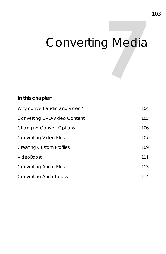# Converting Media

### **In this chapter**

| Why convert audio and video?    | 104 |
|---------------------------------|-----|
| Converting DVD-Video Content    | 105 |
| <b>Changing Convert Options</b> | 106 |
| Converting Video Files          | 107 |
| <b>Creating Custom Profiles</b> | 109 |
| VideoBoost                      | 111 |
| Converting Audio Files          | 113 |
| <b>Converting Audiobooks</b>    | 114 |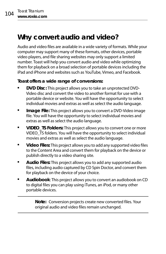### <span id="page-109-0"></span>**Why convert audio and video?**

Audio and video files are available in a wide variety of formats. While your computer may support many of these formats, other devices, portable video players, and file sharing websites may only support a limited number. Toast will help you convert audio and video while optimizing them for playback on a broad selection of portable devices including the iPad and iPhone and websites such as YouTube, Vimeo, and Facebook.

### **Toast offers a wide range of conversions:**

- **DVD Disc:** This project allows you to take an unprotected DVD-Video disc and convert the video to another format for use with a portable device or website. You will have the opportunity to select individual movies and extras as well as select the audio language.
- **Image File:** This project allows you to convert a DVD-Video image file. You will have the opportunity to select individual movies and extras as well as select the audio language.
- **VIDEO\_TS Folders:** This project allows you to convert one or more VIDEO\_TS folders. You will have the opportunity to select individual movies and extras as well as select the audio language.
- **Video Files:** This project allows you to add any supported video files to the Content Area and convert them for playback on the device or publish directly to a video sharing site.
- **Audio Files:** This project allows you to add any supported audio files, including audio captured by CD Spin Doctor, and convert them for playback on the device of your choice.
- **Audiobook**: This project allows you to convert an audiobook on CD to digital files you can play using iTunes, an iPod, or many other portable devices.

**Note:** Conversion projects create new converted files. Your original audio and video files remain unchanged.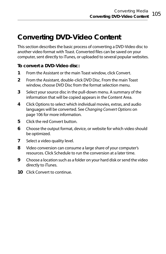### <span id="page-110-0"></span>**Converting DVD-Video Content**

This section describes the basic process of converting a DVD-Video disc to another video format with Toast. Converted files can be saved on your computer, sent directly to iTunes, or uploaded to several popular websites.

#### **To convert a DVD-Video disc:**

- **1** From the Assistant or the main Toast window, click Convert.
- **2** From the Assistant, double-click DVD Disc. From the main Toast window, choose DVD Disc from the format selection menu.
- **3** Select your source disc in the pull-down menu. A summary of the information that will be copied appears in the Content Area.
- **4** Click Options to select which individual movies, extras, and audio languages will be converted. See [Changing Convert Options](#page-111-0) on [page 106](#page-111-0) for more information.
- **5** Click the red Convert button.
- **6** Choose the output format, device, or website for which video should be optimized.
- **7** Select a video quality level.
- **8** Video conversion can consume a large share of your computer's resources. Click Schedule to run the conversion at a later time.
- **9** Choose a location such as a folder on your hard disk or send the video directly to iTunes.
- **10** Click Convert to continue.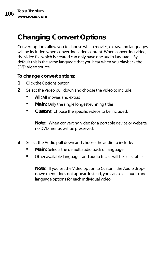### <span id="page-111-0"></span>**Changing Convert Options**

Convert options allow you to choose which movies, extras, and languages will be included when converting video content. When converting video, the video file which is created can only have one audio language. By default this is the same language that you hear when you playback the DVD-Video source.

#### **To change convert options:**

- **1** Click the Options button.
- **2** Select the Video pull down and choose the video to include:
	- **All:** All movies and extras
	- **Main:** Only the single longest-running titles
	- **Custom:** Choose the specific videos to be included.

**Note:** When converting video for a portable device or website, no DVD menus will be preserved.

- **3** Select the Audio pull down and choose the audio to include:
	- **Main:** Selects the default audio track or language.
	- Other available languages and audio tracks will be selectable.

**Note:** If you set the Video option to Custom, the Audio dropdown menu does not appear. Instead, you can select audio and language options for each individual video.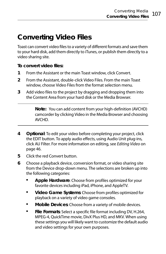### <span id="page-112-0"></span>**Converting Video Files**

Toast can convert video files to a variety of different formats and save them to your hard disk, add them directly to iTunes, or publish them directly to a video sharing site.

**To convert video files:**

- **1** From the Assistant or the main Toast window, click Convert.
- **2** From the Assistant, double-click Video Files. From the main Toast window, choose Video Files from the format selection menu.
- **3** Add video files to the project by dragging and dropping them into the Content Area from your hard disk or the Media Browser.

**Note:** You can add content from your high-definition (AVCHD) camcorder by clicking Video in the Media Browser and choosing AVCHD.

- **4 Optional**: To edit your video before completing your project, click the EDIT button. To apply audio effects, using Audio Unit plug-ins, click AU Filter. For more information on editing, see [Editing Video](#page-51-0) on [page 46.](#page-51-0)
- **5** Click the red Convert button.
- <span id="page-112-2"></span><span id="page-112-1"></span>**6** Choose a playback device, conversion format, or video sharing site from the Device drop-down menu. The selections are broken up into the following categories:
	- **Apple Hardware**: Choose from profiles optimized for your favorite devices including iPad, iPhone, and AppleTV.
	- **Video Game Systems**: Choose from profiles optimized for playback on a variety of video game consoles.
	- **Mobile Devices**: Choose from a variety of mobile devices.
	- **File Formats**: Select a specific file format including DV, H.264, MPEG-4, QuickTime movie, DivX Plus HD, and MKV. When using these settings you will likely want to customize the default audio and video settings for your own purposes.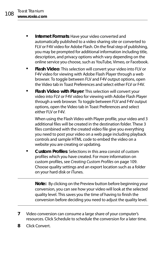- <span id="page-113-1"></span> **Internet Formats**: Have your video converted and automatically published to a video sharing site or converted to FLV or F4V video for Adobe Flash. On the final step of publishing, you may be prompted for additional information including title, description, and privacy options which vary depending on the online service you choose, such as YouTube, Vimeo, or Facebook.
- **Flash Video**: This selection will convert your video into FLV or F4V video for viewing with Adobe Flash Player through a web browser. To toggle between FLV and F4V output options, open the Video tab in Toast Preferences and select either FLV or F4V.
- **Flash Video with Player**: This selection will convert your video into FLV or F4V video for viewing with Adobe Flash Player through a web browser. To toggle between FLV and F4V output options, open the Video tab in Toast Preferences and select either FLV or F4V.

When using the Flash Video with Player profile, your video and 3 additional files will be created in the destination folder. These 3 files combined with the created video file give you everything you need to post your video on a web page including playback controls and sample HTML code to embed the video on a website you are creating or updating.

 **Custom Profiles**: Selections in this area consist of custom profiles which you have created. For more information on custom profiles, see [Creating Custom Profiles](#page-114-0) on page 109. Choose quality settings and an export location such as a folder on your hard disk or iTunes.

**Note:** By clicking on the Preview button before beginning your conversion, you can see how your video will look at the selected quality level. This saves you the time of having to finish the conversion before deciding you need to adjust the quality level.

- <span id="page-113-0"></span>**7** Video conversion can consume a large share of your computer's resources. Click Schedule to schedule the conversion for a later time.
- **8** Click Convert.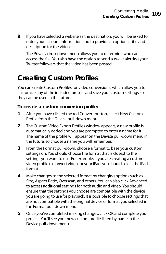**9** If you have selected a website as the destination, you will be asked to enter your account information and to provide an optional title and description for the video.

<span id="page-114-1"></span>The Privacy drop-down menu allows you to determine who can access the file. You also have the option to send a tweet alerting your Twitter followers that the video has been posted.

### <span id="page-114-0"></span>**Creating Custom Profiles**

You can create Custom Profiles for video conversions, which allow you to customize any of the included presets and save your custom settings so they can be used in the future.

#### **To create a custom conversion profile:**

- **1** After you have clicked the red Convert button, select New Custom Profile from the Device pull-down menu.
- **2** The Custom Video Export Profiles window appears, a new profile is automatically added and you are prompted to enter a name for it. The name of the profile will appear on the Device pull-down menu in the future, so choose a name you will remember.
- **3** From the Format pull-down, choose a format to base your custom settings on. You should choose the format that is closest to the settings you want to use. For example, if you are creating a custom video profile to convert video for your iPad, you should select the iPad format.
- **4** Make changes to the selected format by changing options such as Size, Aspect Ratio, Overscan, and others. You can also click Advanced to access additional settings for both audio and video. You should ensure that the settings you choose are compatible with the device you are going to use for playback. It is possible to choose settings that are not compatible with the original device or format you selected in the Format pull-down menu.
- **5** Once you've completed making changes, click OK and complete your project. You'll see your new custom profile listed by name in the Device pull-down menu.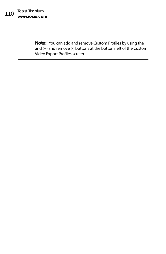**Note:** You can add and remove Custom Profiles by using the and (+) and remove (-) buttons at the bottom left of the Custom Video Export Profiles screen.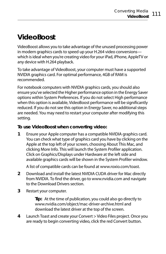### <span id="page-116-1"></span><span id="page-116-0"></span>**VideoBoost**

VideoBoost allows you to take advantage of the unused processing power in modern graphics cards to speed up your H.264 video conversions which is ideal when you're creating video for your iPad, iPhone, AppleTV or any device with H.264 playback.

To take advantage of VideoBoost, your computer must have a supported NVIDIA graphics card. For optimal performance, 4GB of RAM is recommended.

For notebook computers with NVIDIA graphics cards, you should also ensure you've selected the Higher performance option in the Energy Saver options within System Preferences. If you do not select High performance when this option is available, VideoBoost performance will be significantly reduced. If you do not see this option in Energy Saver, no additional steps are needed. You may need to restart your computer after modifying this setting.

### **To use VideoBoost when converting video:**

**1** Ensure your Apple computer has a compatible NVIDIA graphics card. You can check what type of graphics card you have by clicking on the Apple at the top left of your screen, choosing About This Mac, and clicking More Info. This will launch the System Profiler application. Click on Graphics/Displays under Hardware at the left side and available graphics cards will be shown in the System Profiler window.

A list of compatible cards can be found a[t www.roxio.com/toast.](http://www.roxio.com/toast)

- **2** Download and install the latest NVIDIA CUDA driver for Mac directly from NVIDIA. To find the driver, go to [www.nvidia.com](http://www.nvidia.com) and navigate to the Download Drivers section.
- **3** Restart your computer.

**Tip:** At the time of publication, you could also go directly to [www.nvidia.com/object/mac-driver-archive.html](http://www.nvidia.com/object/mac-driver-archive.html) and download the latest driver at the top of the screen.

**4** Launch Toast and create your Convert > Video Files project. Once you are ready to begin converting video, click the red Convert button.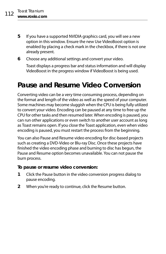**5** If you have a supported NVIDIA graphics card, you will see a new option in this window. Ensure the new Use VideoBoost option is enabled by placing a check mark in the checkbox, if there is not one already present.

#### **6** Choose any additional settings and convert your video.

Toast displays a progress bar and status information and will display VideoBoost in the progress window if VideoBoost is being used.

### **Pause and Resume Video Conversion**

<span id="page-117-0"></span>Converting video can be a very time consuming process, depending on the format and length of the video as well as the speed of your computer. Some machines may become sluggish when the CPU is being fully utilized to convert your video. Encoding can be paused at any time to free up the CPU for other tasks and then resumed later. When encoding is paused, you can run other applications or even switch to another user account as long as Toast remains open. If you close the Toast application, even when video encoding is paused, you must restart the process from the beginning.

You can also Pause and Resume video encoding for disc-based projects such as creating a DVD-Video or Blu-ray Disc. Once these projects have finished the video encoding phase and burning to disc has begun, the Pause and Resume option becomes unavailable. You can not pause the burn process.

#### **To pause or resume video conversion:**

- **1** Click the Pause button in the video conversion progress dialog to pause encoding.
- **2** When you're ready to continue, click the Resume button.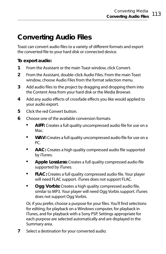### <span id="page-118-0"></span>**Converting Audio Files**

Toast can convert audio files to a variety of different formats and export the converted file to your hard disk or connected device.

#### **To export audio:**

- **1** From the Assistant or the main Toast window, click Convert.
- **2** From the Assistant, double-click Audio Files. From the main Toast window, choose Audio Files from the format selection menu.
- **3** Add audio files to the project by dragging and dropping them into the Content Area from your hard disk or the Media Browser.
- **4** Add any audio effects of crossfade effects you like would applied to your audio export.
- **5** Click the red Convert button
- **6** Choose one of the available conversion formats:
	- **AIFF:** Creates a full quality uncompressed audio file for use on a Mac.
	- **WAV:** Creates a full quality uncompressed audio file for use on a PC.
	- **AAC:** Creates a high quality compressed audio file supported by iTunes.
	- **Apple LossLess:** Creates a full quality compressed audio file supported by iTunes.
	- **FLAC:** Creates a full quality compressed audio file. Your player will need FLAC support. iTunes does not support FLAC.
	- **Ogg Vorbis:** Creates a high quality compressed audio file, similar to MP3. Your player will need Ogg Vorbis support. iTunes does not support Ogg Vorbis.

Or, if you prefer, choose a purpose for your files. You'll find selections for editing, for playback on a Windows computer, for playback in iTunes, and for playback with a Sony PSP. Settings appropriate for each purpose are selected automatically and are displayed in the Summary area.

**7** Select a destination for your converted audio.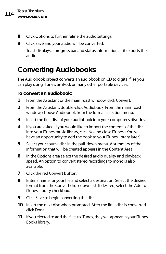- **8** Click Options to further refine the audio settings.
- **9** Click Save and your audio will be converted.

Toast displays a progress bar and status information as it exports the audio.

### <span id="page-119-0"></span>**Converting Audiobooks**

<span id="page-119-1"></span>The Audiobook project converts an audiobook on CD to digital files you can play using iTunes, an iPod, or many other portable devices.

### **To convert an audiobook:**

- **1** From the Assistant or the main Toast window, click Convert.
- **2** From the Assistant, double-click Audiobook. From the main Toast window, choose Audiobook from the format selection menu.
- **3** Insert the first disc of your audiobook into your computer's disc drive.
- **4** If you are asked if you would like to import the contents of the disc into your iTunes music library, click No and close iTunes. (You will have an opportunity to add the book to your iTunes library later.)
- **5** Select your source disc in the pull-down menu. A summary of the information that will be created appears in the Content Area.
- **6** In the Options area select the desired audio quality and playback speed. An option to convert stereo recordings to mono is also available.
- **7** Click the red Convert button.
- **8** Enter a name for your file and select a destination. Select the desired format from the Convert drop-down list. If desired, select the Add to iTunes Library checkbox.
- **9** Click Save to begin converting the disc.
- **10** Insert the next disc when prompted. After the final disc is converted, click Done.
- **11** If you elected to add the files to iTunes, they will appear in your iTunes Books library.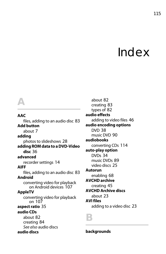# Index

#### **AAC**

*A*

files, adding to an audio disc [83](#page-88-0) **Add button**

about [7](#page-12-0)

#### **adding**

photos to slideshows [28](#page-33-0)

**adding [ROM data to a DVD-Video](#page-41-0)  disc** 36

#### **advanced**

recorder settings [14](#page-19-0)

#### **AIFF**

files, adding to an audio disc [83](#page-88-0) **Android**

converting video for playback on Android devices [107](#page-112-1)

#### **AppleTV**

conve[rting video for playback](#page-112-2)  on 107

#### **aspect ratio** [35](#page-40-0)

#### **audio CDs**

about [82](#page-87-0) creating [84](#page-89-0) [See also](#page-87-0) audio discs **audio discs**

about [82](#page-87-1) creating [83](#page-88-1) types of [82](#page-87-2) **audio effects** adding to video files [46](#page-51-1) **audio encoding options** DVD [38](#page-43-0) music DVD [90](#page-95-0) **audiobooks** converting CDs [114](#page-119-1) **auto-play option** DVDs [34](#page-39-0) music DVDs [89](#page-94-0) video discs [25](#page-30-0) **Autorun** enabling [68](#page-73-0) **AVCHD archive** creating [45](#page-50-0) **AVCHD Archive discs** about [23](#page-28-0) **AVI files** adding to a video disc [23](#page-28-1)

*B*

**backgrounds**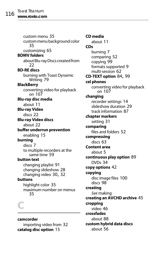custom menu [35](#page-40-1) [custom menu background color](#page-40-2) 35 customizing [65](#page-70-0) **BDMV folders** [about Blu-ray Discs created from](#page-27-0) 22 **BD-RE discs** burning wi[th Toast Dynamic](#page-84-0)  Writing 79 **BlackBerry** conve[rting video for playback](#page-112-1)  on 107 **Blu-ray disc media** about [11](#page-16-0) **Blu-ray Video** discs [22](#page-27-0) **Blu-ray Video discs** about [22](#page-27-1) **buffer underrun prevention** enabling [15](#page-20-0) **burning** discs [7](#page-12-1) to multiple re[corders at the](#page-64-0)  same time 59 **button text** changing playlist [91](#page-96-0) changing slideshow [28](#page-33-1) changing video [30](#page-35-0), [32](#page-37-0) **buttons** highlight color [35](#page-40-3) [maximum number on menus](#page-40-4) 35 *C*

**camcorder** importing video from [32](#page-37-1) **catalog disc option** [15](#page-20-1)

**CD media** about [11](#page-16-1) **CDs** burning [7](#page-12-1) comparing [52](#page-57-0) copying [99](#page-104-0) formats supported [9](#page-14-0) multi-session [62](#page-67-0) **CD-TEXT option** [84](#page-89-1), [99](#page-104-1) **cel phones** conve[rting video for playback](#page-112-1)  on 107 **changing** recorder settings [14](#page-19-1) slideshow duration [29](#page-34-0) track information [87](#page-92-0) **chapter markers** setting [31](#page-36-0) **comparing** files and folders [52](#page-57-0) **compressing** discs [63](#page-68-0) **Content area** about [5](#page-10-0) **continuous play option** [89](#page-94-1) DVDs [34](#page-39-1) **copy options** [42](#page-47-0) **copying** disc image files [100](#page-105-0) discs [98](#page-103-0) **creating** [See](#page-88-1) making **creating an AVCHD archive** [45](#page-50-0) **cropping** video [46](#page-51-1) **crossfades** about [88](#page-93-0) **custom hybrid data discs** about [56](#page-61-0)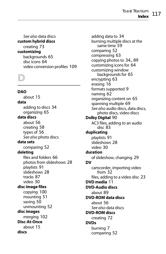[See also](#page-61-0) data discs **custom hybrid discs** creating [73](#page-78-0) **customizing** backgrounds [65](#page-70-0) disc icons [64](#page-69-0) video conversion profiles [109](#page-114-1)

# *D*

**DAO** about [15](#page-20-2) **data** adding to discs [34](#page-39-2) organizing [65](#page-70-1) **data discs** about [56](#page-61-1) creating [58](#page-63-0) types of [56](#page-61-2) [See also](#page-61-1) photo discs **data sets** comparing [52](#page-57-0) **deleting** files and folders [66](#page-71-0) photos from slideshows [28](#page-33-2) playlists [91](#page-96-1) slideshows [28](#page-33-3) tracks [87](#page-92-1) video [30](#page-35-1) **disc image files** copying [100](#page-105-0) mounting [51](#page-56-0) saving [50](#page-55-0) unmounting [52](#page-57-1) **disc images** merging [102](#page-107-0) **Disc-At-Once** about [15](#page-20-2) **discs**

adding data to [34](#page-39-2) burning multi[ple discs at the](#page-64-0)  same time 59 comparing [52](#page-57-0) compressing [63](#page-68-0) copying photos to [34](#page-39-3), [89](#page-94-2) customizing icons for [64](#page-69-0) customizing window backgrounds for [65](#page-70-0) encrypting [63](#page-68-1) erasing [16](#page-21-0) formats supported [9](#page-14-0) naming [62](#page-67-1) organizing content on [65](#page-70-1) spanning multiple [69](#page-74-0) [See also](#page-61-1) audio discs, data discs, photo d[iscs, video discs](#page-95-0) **Dolby Digital** 90 AC3 file[s, adding to an audio](#page-88-2)  disc 83 **duplicating** playlists [91](#page-96-2) slideshows [28](#page-33-4) video [30](#page-35-2) **duration** of slideshow, changing [29](#page-34-0) **DV** camcord[er, importing video](#page-37-1)  from 32 files, addi[ng to a video disc](#page-16-2) [23](#page-28-1) **DVD media** 11 **DVD-Audio discs** about [89](#page-94-3) **DVD-ROM data discs** about [56](#page-61-3) [See also](#page-61-3) data discs **DVD-ROM discs** creating [72](#page-77-0) **DVDs** burning [7](#page-12-1) comparing [52](#page-57-0)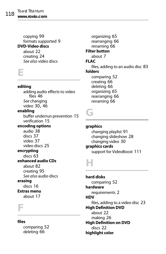copying [99](#page-104-0) formats supported [9](#page-14-0) **DVD-Video discs** about [22](#page-27-2) creating [24](#page-29-0) [See also](#page-27-2) video discs

*E*

#### **editing**

adding [audio effects to video](#page-51-1)  files 46 [See](#page-92-0) changing video [30](#page-35-3), [46](#page-51-1) **enabling** buffer underrun prevention [15](#page-20-0) verification [15](#page-20-3) **encoding options** audio [38](#page-43-0) discs [37](#page-42-0) video [37](#page-42-1) video discs [25](#page-30-1) **encrypting** discs [63](#page-68-1) **enhanced audio CDs** about [82](#page-87-3) creating [95](#page-100-0) [See also](#page-87-3) audio discs **erasing** discs [16](#page-21-0) **Extras menu** about [17](#page-22-0)

*F*

#### **files**

comparing [52](#page-57-0) deleting [66](#page-71-0)

organizing [65](#page-70-1) rearranging [66](#page-71-1) renaming [66](#page-71-2) **Filter button** about [7](#page-12-2) **FLAC** files, adding to an audio disc [83](#page-88-2) **folders** comparing [52](#page-57-0) creating [66](#page-71-3) deleting [66](#page-71-0) organizing [65](#page-70-1) rearranging [66](#page-71-1) renaming [66](#page-71-2)

*G*

**graphics** changing playlist [91](#page-96-0) changing slideshow [28](#page-33-1) changing video [30](#page-35-0) **graphics cards** support for VideoBoost [111](#page-116-1)

# *H*

**hard disks** comparing [52](#page-57-0) **hardware** requirements [2](#page-7-0) **HDV** files, adding to a video disc [23](#page-28-1) **High Definition DVD** about [22](#page-27-3) making [26](#page-31-0) **High Definition on DVD** discs [22](#page-27-0) **highlight color**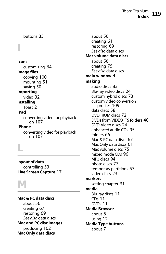Toast Titanium **Index** 119

buttons [35](#page-40-3)

*I*

#### **icons**

customizing [64](#page-69-0) **image files** copying [100](#page-105-0) mounting [51](#page-56-0)

saving [50](#page-55-0) **importing**

video [32](#page-37-1)

#### **installing**

Toast [2](#page-7-1)

#### **iPad**

conve[rting video for playback](#page-112-2)  on 107

#### **iPhone**

conve[rting video for playback](#page-112-2)  on 107

*L*

**layout of data** controlling [53](#page-58-0) **Live Screen Capture** [17](#page-22-1)

# *M*

**Mac & PC data discs** about [56](#page-61-4) creating [67](#page-72-0) restoring [69](#page-74-1) [See also](#page-61-4) data discs **Mac and PC disc images** producing [102](#page-107-0) **Mac Only data discs**

about [56](#page-61-5) creating [61](#page-66-0) restoring [69](#page-74-1) [See also](#page-61-5) data discs **Mac volume data discs** about [56](#page-61-6) creating [75](#page-80-0) [See also](#page-61-6) data discs **main window** [4](#page-9-0) **making** audio discs [83](#page-88-1) Blu-ray video discs [24](#page-29-0) custom hybrid discs [73](#page-78-0) custom vid[eo conversion](#page-114-1)  profiles 109 data discs [58](#page-63-0) DVD\_ROM discs [72](#page-77-0) DVDs from VIDEO\_TS folders [40](#page-45-0) DVD-Video discs [24](#page-29-0) enhanced audio CDs [95](#page-100-0) folders [66](#page-71-3) Mac & PC data discs [67](#page-72-0) Mac Only data discs [61](#page-66-0) Mac volume discs [75](#page-80-0) mixed mode CDs [96](#page-101-0) MP3 discs [94](#page-99-0) photo discs [77](#page-82-0) temporary partitions [53](#page-58-0) video discs [23](#page-28-2) **markers** setting chapter [31](#page-36-0) **media** Blu-ray discs [11](#page-16-0)  $CDs$  [11](#page-16-1) DVDs [11](#page-16-2) **Media Browser** about [6](#page-11-0) using [12](#page-17-0) **Media Type buttons** about [7](#page-12-3)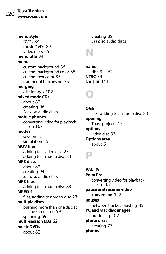#### **menu style** DVDs [34](#page-39-4) music DVDs [89](#page-94-4) video discs [25](#page-30-0) **menu title** [34](#page-39-5) **menus** custom background [35](#page-40-1) custom background color [35](#page-40-2) custom text color [35](#page-40-5) number of buttons on [35](#page-40-4) **merging** disc images [102](#page-107-0) **mixed mode CDs** about [82](#page-87-4) creating [96](#page-101-0) [See also](#page-87-4) audio discs **mobile phones** conve[rting video for playback](#page-112-1)  on 107 **modes** session [15](#page-20-4) simulation [15](#page-20-5) **MOV files** adding to a video disc [23](#page-28-1) adding to an audio disc [83](#page-88-0) **MP3 discs** about [82](#page-87-5) creating [94](#page-99-0) [See also](#page-87-5) audio discs **MP3 files** adding to an audio disc [83](#page-88-0) **MPEG-4** files, adding to a video disc [23](#page-28-1) **multiple discs** burning more tha[n one disc at](#page-64-0)  the same time 59 spanning [69](#page-74-0) **multi-session CDs** [62](#page-67-0) **music DVDs**

about [82](#page-87-6)

creating [89](#page-94-5) [See also](#page-87-6) audio discs

*N*

#### **name**

disc [34](#page-39-6), [62](#page-67-1) **NTSC** [39](#page-44-0) **NVIDIA** [111](#page-116-1)

# *O*

#### **OGG**

files, adding to an audio disc [83](#page-88-2) **opening** Toast projects [15](#page-20-6) **options** video disc [33](#page-38-0) **Options area** about [5](#page-10-1)

# *P*

#### **PAL** [39](#page-44-0) **Palm Pre** conve[rting video for playback](#page-112-1)  on 107 **pause and resume video conversion** [112](#page-117-0) **pauses** between tracks, adjusting [85](#page-90-0) **PC and Mac disc images** producing [102](#page-107-0) **photo discs** creating [77](#page-82-0) **photos**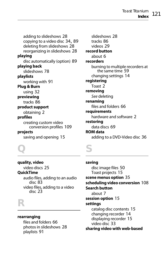Toast Titanium **Index** 121

adding to slideshows [28](#page-33-0) copying to a video disc [34](#page-39-3), [89](#page-94-2) deleting from slideshows [28](#page-33-2) reorganizing in slideshows [28](#page-33-2) **playing** disc automatically (option) [89](#page-94-0) **playing back** slideshows [78](#page-83-0) **playlists** working with [91](#page-96-3) **Plug & Burn** using [32](#page-37-1) **previewing** tracks [86](#page-91-0) **product support** obtaining [2](#page-7-2) **profiles** creating custom video conversion profiles [109](#page-114-1) **projects** saving and opening [15](#page-20-6)

slideshows [28](#page-33-5) tracks [86](#page-91-1) videos [29](#page-34-1) **record button** about [6](#page-11-1) **recorders** burning to multipl[e recorders at](#page-64-1)  the same time 59 changing settings [14](#page-19-1) **registering** Toast [2](#page-7-3) **removing** [See](#page-71-0) deleting **renaming** files and folders [66](#page-71-2) **requirements** hardware and software [2](#page-7-0) **restoring** data discs [69](#page-74-1) **ROM data** adding to a DVD-Video disc [36](#page-41-0)

*Q*

*S*

**quality, video** video discs [25](#page-30-2) **QuickTime** audio fi[les, adding to an audio](#page-88-0)  disc 83 video fi[les, adding to a video](#page-28-1)  disc 23

*R*

#### **rearranging**

files and folders [66](#page-71-1) photos i[n slideshows](#page-96-4) [28](#page-33-2) playlists 91

**saving** disc image files [50](#page-55-0) Toast projects [15](#page-20-6) **scene menus option** [35](#page-40-6) **scheduling video conversion** [108](#page-113-0) **Search button** about [7](#page-12-2) **session option** [15](#page-20-4) **settings** catalog disc contents [15](#page-20-1) changing recorder [14](#page-19-1) displaying recorder [15](#page-20-7) video disc [33](#page-38-0) **sharing video with web-based**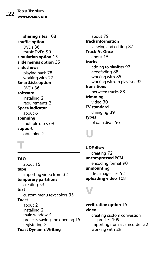**sharing sites** [108](#page-113-1) **shuffle option** DVDs [36](#page-41-1) music DVDs [90](#page-95-1) **simulation option** [15](#page-20-5) **slide menus option** [35](#page-40-7) **slideshows** playing back [78](#page-83-0) working with [27](#page-32-0) **SmartLists option** DVDs [36](#page-41-2) **software** installing [2](#page-7-1) requirements [2](#page-7-0) **Space Indicator** about [6](#page-11-2) **spanning** multiple discs [69](#page-74-0) **support** obtaining [2](#page-7-2)

#### about [79](#page-84-0) **track information** viewing and editing [87](#page-92-0) **Track-At-Once** about [15](#page-20-2) **tracks** adding to playlists [92](#page-97-0) crossfading [88](#page-93-0) working with [85](#page-90-1) working with, in playlists [92](#page-97-1) **transitions** between tracks [88](#page-93-0) **trimming** video [30](#page-35-3) **TV standard** changing [39](#page-44-0) **types** of data discs [56](#page-61-2)

*T*

#### **TAO** about [15](#page-20-2) **tape** importing video from [32](#page-37-1) **temporary partitions** creating [53](#page-58-0) **text** custom menu text colors [35](#page-40-5) **Toast** about [2](#page-7-4) installing [2](#page-7-1) main window [4](#page-9-1) projects, sa[ving and opening](#page-7-3) [15](#page-20-6) registering 2 **Toast Dynamic Writing**

### **UDF discs**

*U*

creating [72](#page-77-1) **uncompressed PCM** encoding format [90](#page-95-0) **unmounting** disc image files [52](#page-57-1) **uploading video** [108](#page-113-1)

# *V*

#### **verification option** [15](#page-20-3) **video**

creating cu[stom conversion](#page-114-1)  profiles 109 importing from a camcorder [32](#page-37-1) working with [29](#page-34-2)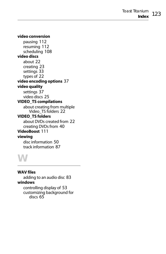#### **video conversion**

pausing [112](#page-117-0) resuming [112](#page-117-0) scheduling [108](#page-113-0) **video discs** about [22](#page-27-4) creating [23](#page-28-2) settings [33](#page-38-0) types of [22](#page-27-5) **video encoding options** [37](#page-42-1) **video quality** settings [37](#page-42-2) video discs [25](#page-30-2) **VIDEO\_TS compilations** about creating from multiple Video TS folders [22](#page-27-6) **VIDEO\_TS folders** about DVDs created from [22](#page-27-7) creating DVDs from [40](#page-45-0) **VideoBoost** [111](#page-116-1) **viewing** disc information [50](#page-55-1) track information [87](#page-92-0)

*W*

**WAV files**

adding to an audio disc [83](#page-88-0) **windows** controlling display of [53](#page-58-0) customi[zing background for](#page-70-0)  discs 65